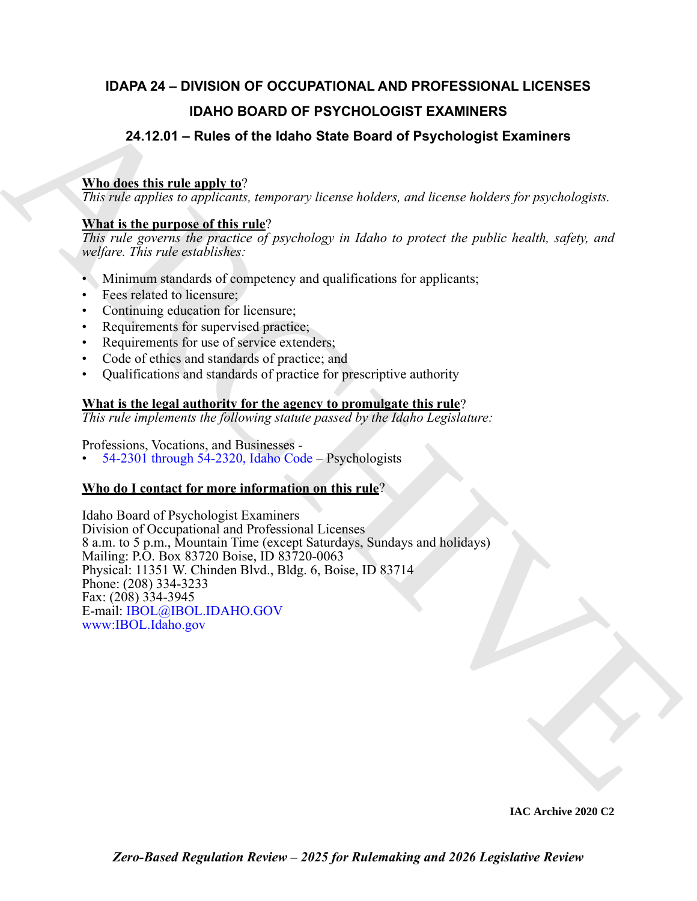# **IDAPA 24 – DIVISION OF OCCUPATIONAL AND PROFESSIONAL LICENSES IDAHO BOARD OF PSYCHOLOGIST EXAMINERS**

# **24.12.01 – Rules of the Idaho State Board of Psychologist Examiners**

# **Who does this rule apply to**?

*This rule applies to applicants, temporary license holders, and license holders for psychologists.*

# **What is the purpose of this rule**?

*This rule governs the practice of psychology in Idaho to protect the public health, safety, and welfare. This rule establishes:*

- Minimum standards of competency and qualifications for applicants;
- Fees related to licensure;
- Continuing education for licensure;
- Requirements for supervised practice;
- Requirements for use of service extenders;
- Code of ethics and standards of practice; and
- Qualifications and standards of practice for prescriptive authority

# **What is the legal authority for the agency to promulgate this rule**?

*This rule implements the following statute passed by the Idaho Legislature:*

Professions, Vocations, and Businesses -

• 54-2301 through 54-2320, Idaho Code – Psychologists

# **Who do I contact for more information on this rule**?

**IDAHO BOARD OF PSY[CH](https://legislature.idaho.gov/statutesrules/idstat/Title54/T54CH23/)OLOGIST [E](http://www.ibol.idaho.gov/)XAMINERS**<br>
24.12.01 – Rules of the Idaho State Board of Psychologist Examiners<br>
This disc unit pure and the idaho State Board of Psychologist Examiners<br>
This disc unit pure and this case, tem Idaho Board of Psychologist Examiners Division of Occupational and Professional Licenses 8 a.m. to 5 p.m., Mountain Time (except Saturdays, Sundays and holidays) Mailing: P.O. Box 83720 Boise, ID 83720-0063 Physical: 11351 W. Chinden Blvd., Bldg. 6, Boise, ID 83714 Phone: (208) 334-3233 Fax: (208) 334-3945 E-mail: IBOL@IBOL.IDAHO.GOV www:IBOL.Idaho.gov

**IAC Archive 2020 C2**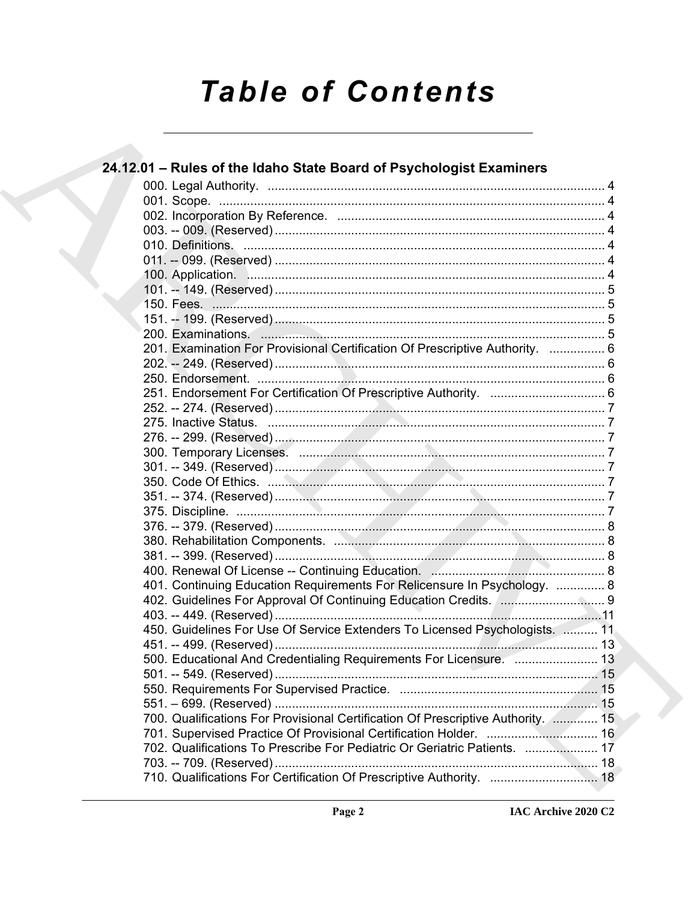# **Table of Contents**

|  | 24.12.01 - Rules of the Idaho State Board of Psychologist Examiners              |  |
|--|----------------------------------------------------------------------------------|--|
|  |                                                                                  |  |
|  |                                                                                  |  |
|  |                                                                                  |  |
|  |                                                                                  |  |
|  |                                                                                  |  |
|  |                                                                                  |  |
|  |                                                                                  |  |
|  |                                                                                  |  |
|  |                                                                                  |  |
|  |                                                                                  |  |
|  |                                                                                  |  |
|  | 201. Examination For Provisional Certification Of Prescriptive Authority.  6     |  |
|  |                                                                                  |  |
|  |                                                                                  |  |
|  |                                                                                  |  |
|  |                                                                                  |  |
|  |                                                                                  |  |
|  |                                                                                  |  |
|  |                                                                                  |  |
|  |                                                                                  |  |
|  |                                                                                  |  |
|  |                                                                                  |  |
|  |                                                                                  |  |
|  |                                                                                  |  |
|  |                                                                                  |  |
|  |                                                                                  |  |
|  |                                                                                  |  |
|  | 401. Continuing Education Requirements For Relicensure In Psychology.  8         |  |
|  | 402. Guidelines For Approval Of Continuing Education Credits. [ 9                |  |
|  |                                                                                  |  |
|  | 450. Guidelines For Use Of Service Extenders To Licensed Psychologists.  11      |  |
|  |                                                                                  |  |
|  | 500. Educational And Credentialing Requirements For Licensure.  13               |  |
|  |                                                                                  |  |
|  |                                                                                  |  |
|  |                                                                                  |  |
|  | 700. Qualifications For Provisional Certification Of Prescriptive Authority.  15 |  |
|  | 701. Supervised Practice Of Provisional Certification Holder.  16                |  |
|  | 702. Qualifications To Prescribe For Pediatric Or Geriatric Patients.  17        |  |
|  |                                                                                  |  |
|  | 710. Qualifications For Certification Of Prescriptive Authority.  18             |  |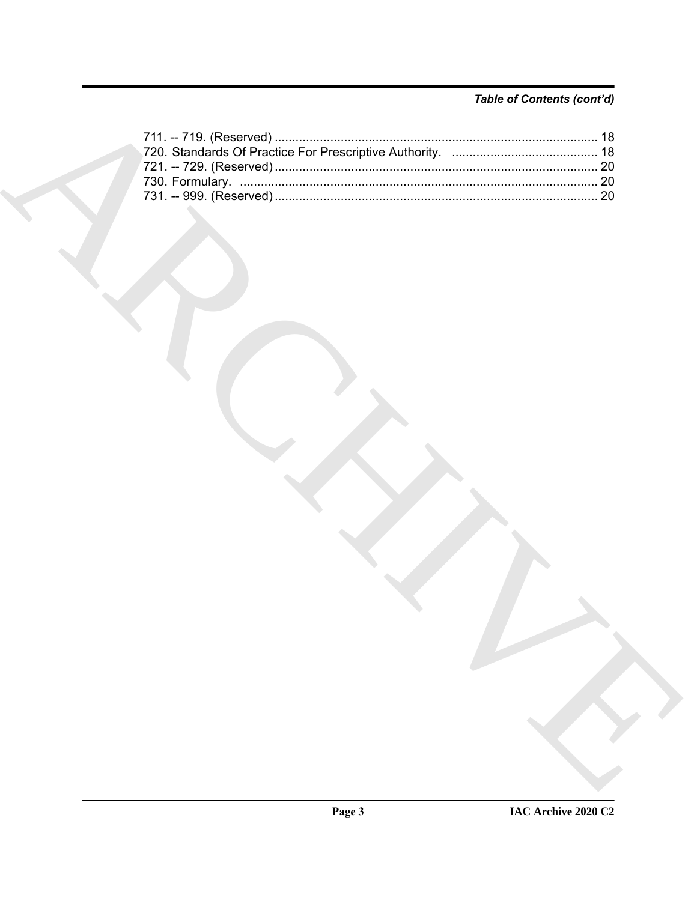# Table of Contents (cont'd)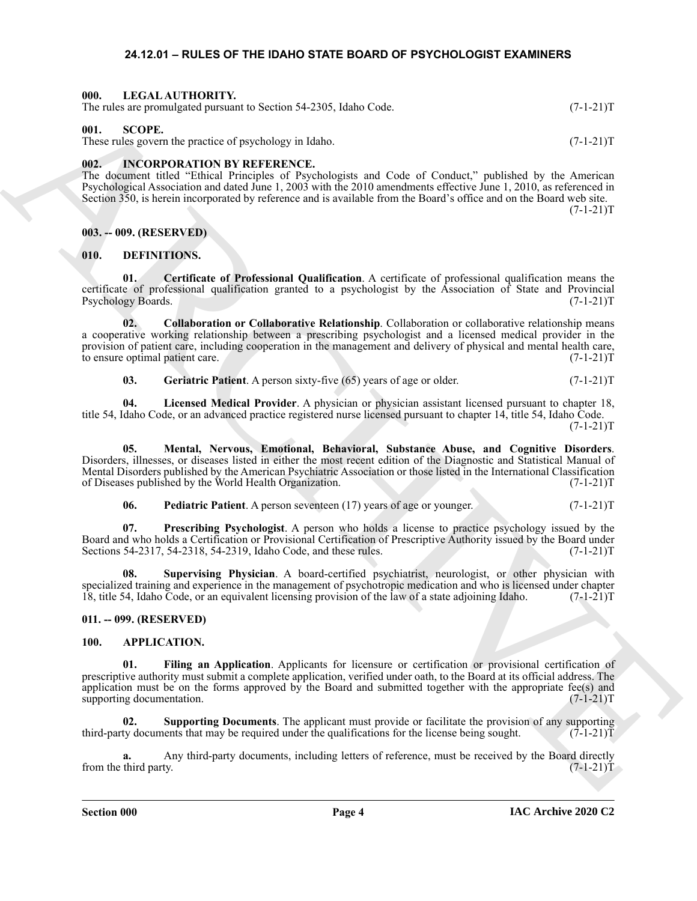# <span id="page-3-21"></span>**24.12.01 – RULES OF THE IDAHO STATE BOARD OF PSYCHOLOGIST EXAMINERS**

### <span id="page-3-1"></span><span id="page-3-0"></span>**000. LEGAL AUTHORITY.**

The rules are promulgated pursuant to Section 54-2305, Idaho Code. (7-1-21)T

# <span id="page-3-22"></span><span id="page-3-2"></span>**001. SCOPE.**

These rules govern the practice of psychology in Idaho. (7-1-21)T

# <span id="page-3-20"></span><span id="page-3-3"></span>**002. INCORPORATION BY REFERENCE.**

The document titled "Ethical Principles of Psychologists and Code of Conduct," published by the American Psychological Association and dated June 1, 2003 with the 2010 amendments effective June 1, 2010, as referenced in Section 350, is herein incorporated by reference and is available from the Board's office and on the Board web site.  $(7-1-21)T$ 

# <span id="page-3-4"></span>**003. -- 009. (RESERVED)**

# <span id="page-3-11"></span><span id="page-3-5"></span>**010. DEFINITIONS.**

<span id="page-3-12"></span>**01. Certificate of Professional Qualification**. A certificate of professional qualification means the certificate of professional qualification granted to a psychologist by the Association of State and Provincial Psychology Boards.

The strengthroughout procedure is Section: 54-2383, below Cost.<br>
(F1-211)<br>
These radio space and procedure is a space of the strengthrough the strengthrough the strengthrough the strengthrough the strengthrough the streng **02. Collaboration or Collaborative Relationship**. Collaboration or collaborative relationship means a cooperative working relationship between a prescribing psychologist and a licensed medical provider in the provision of patient care, including cooperation in the management and delivery of physical and mental health care, to ensure optimal patient care. (7-1-21)T

<span id="page-3-16"></span><span id="page-3-15"></span><span id="page-3-14"></span><span id="page-3-13"></span>**03.** Geriatric Patient. A person sixty-five (65) years of age or older. (7-1-21)T

**04. Licensed Medical Provider**. A physician or physician assistant licensed pursuant to chapter 18, title 54, Idaho Code, or an advanced practice registered nurse licensed pursuant to chapter 14, title 54, Idaho Code.  $(7-1-21)T$ 

**05. Mental, Nervous, Emotional, Behavioral, Substance Abuse, and Cognitive Disorders**. Disorders, illnesses, or diseases listed in either the most recent edition of the Diagnostic and Statistical Manual of Mental Disorders published by the American Psychiatric Association or those listed in the International Classification of Diseases published by the World Health Organization. (7-1-21)T

<span id="page-3-19"></span><span id="page-3-18"></span><span id="page-3-17"></span>**06. Pediatric Patient**. A person seventeen (17) years of age or younger. (7-1-21)T

**07. Prescribing Psychologist**. A person who holds a license to practice psychology issued by the Board and who holds a Certification or Provisional Certification of Prescriptive Authority issued by the Board under Sections 54-2317, 54-2318, 54-2319, Idaho Code, and these rules. (7-1-21)T

**08. Supervising Physician**. A board-certified psychiatrist, neurologist, or other physician with specialized training and experience in the management of psychotropic medication and who is licensed under chapter 18, title 54, Idaho Code, or an equivalent licensing provision of the law of a state adjoining Idaho. (7-1-21)T

# <span id="page-3-6"></span>**011. -- 099. (RESERVED)**

### <span id="page-3-9"></span><span id="page-3-8"></span><span id="page-3-7"></span>**100. APPLICATION.**

**01. Filing an Application**. Applicants for licensure or certification or provisional certification of prescriptive authority must submit a complete application, verified under oath, to the Board at its official address. The application must be on the forms approved by the Board and submitted together with the appropriate fee(s) and supporting documentation.  $(7-1-21)$ T supporting documentation.

<span id="page-3-10"></span>**02. Supporting Documents**. The applicant must provide or facilitate the provision of any supporting ty documents that may be required under the qualifications for the license being sought. (7-1-21) third-party documents that may be required under the qualifications for the license being sought.

Any third-party documents, including letters of reference, must be received by the Board directly ty. (7-1-21)T from the third party.

**Section 000 Page 4**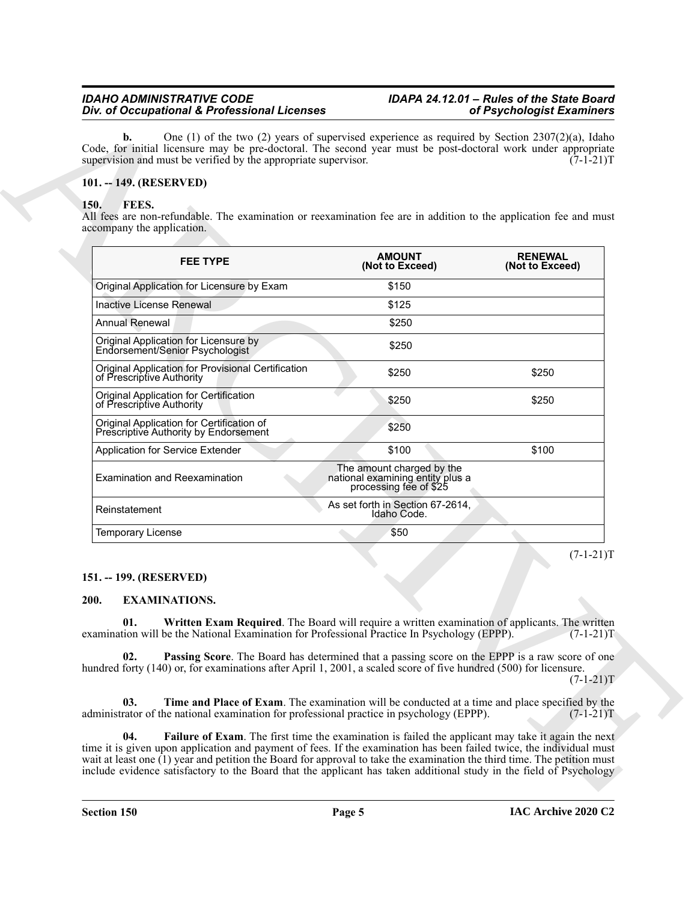# <span id="page-4-0"></span>**101. -- 149. (RESERVED)**

# <span id="page-4-9"></span><span id="page-4-1"></span>**150. FEES.**

| FEES.<br><b>150.</b><br>All fees are non-refundable. The examination or reexamination fee are in addition to the application fee and must<br>accompany the application.                                                            |                                                                                                |                                   |
|------------------------------------------------------------------------------------------------------------------------------------------------------------------------------------------------------------------------------------|------------------------------------------------------------------------------------------------|-----------------------------------|
| <b>FEE TYPE</b>                                                                                                                                                                                                                    | <b>AMOUNT</b><br>(Not to Exceed)                                                               | <b>RENEWAL</b><br>(Not to Exceed) |
| Original Application for Licensure by Exam                                                                                                                                                                                         | \$150                                                                                          |                                   |
| Inactive License Renewal                                                                                                                                                                                                           | \$125                                                                                          |                                   |
| <b>Annual Renewal</b>                                                                                                                                                                                                              | \$250                                                                                          |                                   |
| Original Application for Licensure by<br>Endorsement/Senior Psychologist                                                                                                                                                           | \$250                                                                                          |                                   |
| Original Application for Provisional Certification<br>of Prescriptive Authority                                                                                                                                                    | \$250                                                                                          | \$250                             |
| Original Application for Certification<br>of Prescriptive Authority                                                                                                                                                                | \$250                                                                                          | \$250                             |
| Original Application for Certification of<br>Prescriptive Authority by Endorsement                                                                                                                                                 | \$250                                                                                          |                                   |
| Application for Service Extender                                                                                                                                                                                                   | \$100                                                                                          | \$100                             |
| <b>Examination and Reexamination</b>                                                                                                                                                                                               | The amount charged by the<br>national examining entity plus a<br>processing fee of \$25        |                                   |
| Reinstatement                                                                                                                                                                                                                      | As set forth in Section 67-2614,<br>Idaho Code.                                                |                                   |
| <b>Temporary License</b>                                                                                                                                                                                                           | \$50                                                                                           |                                   |
| 151. -- 199. (RESERVED)<br>200.<br><b>EXAMINATIONS.</b>                                                                                                                                                                            |                                                                                                | $(7-1-21)T$                       |
| Written Exam Required. The Board will require a written examination of applicants. The written<br>01.<br>examination will be the National Examination for Professional Practice In Psychology (EPPP).                              |                                                                                                | $(7-1-21)T$                       |
| 02.<br><b>Passing Score</b> . The Board has determined that a passing score on the EPPP is a raw score of one<br>hundred forty (140) or, for examinations after April 1, 2001, a scaled score of five hundred (500) for licensure. |                                                                                                | $(7-1-21)T$                       |
| 03.                                                                                                                                                                                                                                | Time and Place of Exam. The examination will be conducted at a time and place specified by the |                                   |

# <span id="page-4-2"></span>**151. -- 199. (RESERVED)**

# <span id="page-4-8"></span><span id="page-4-7"></span><span id="page-4-6"></span><span id="page-4-5"></span><span id="page-4-4"></span><span id="page-4-3"></span>**200. EXAMINATIONS.**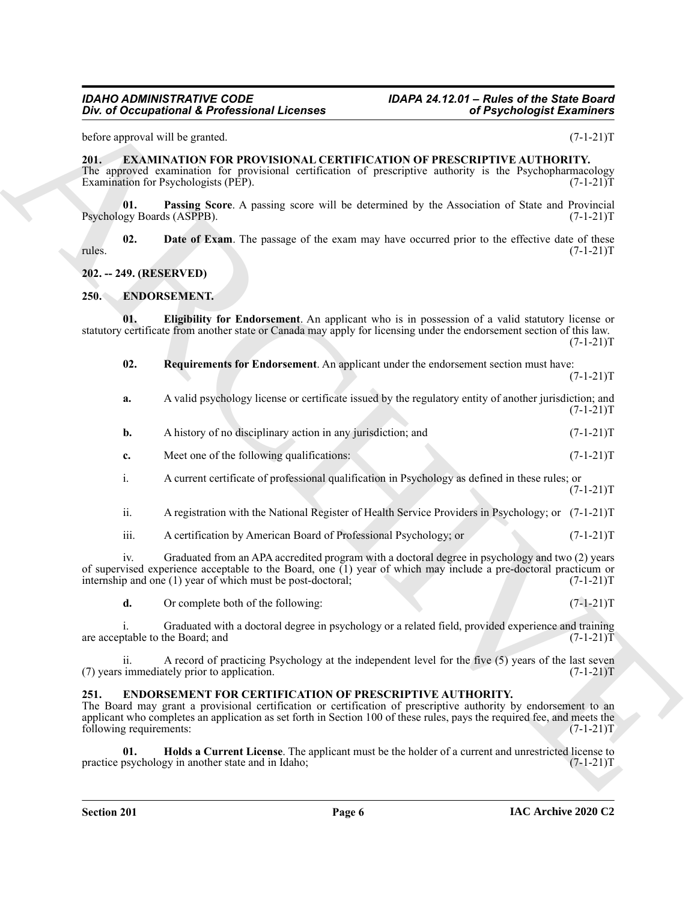### <span id="page-5-11"></span><span id="page-5-10"></span><span id="page-5-1"></span>**202. -- 249. (RESERVED)**

# <span id="page-5-6"></span><span id="page-5-5"></span><span id="page-5-4"></span><span id="page-5-2"></span>**250. ENDORSEMENT.**

<span id="page-5-9"></span><span id="page-5-0"></span>

| before approval will be granted.<br><b>EXAMINATION FOR PROVISIONAL CERTIFICATION OF PRESCRIPTIVE AUTHORITY.</b><br>201.<br>Examination for Psychologists (PEP).<br>01.<br>Psychology Boards (ASPPB).<br>02.<br>rules.<br>202. -- 249. (RESERVED)<br>ENDORSEMENT.<br><b>250.</b><br>01.<br>02.<br><b>Requirements for Endorsement.</b> An applicant under the endorsement section must have:<br>a.<br>A history of no disciplinary action in any jurisdiction; and<br>$\mathbf{b}$ .<br>Meet one of the following qualifications:<br>c.<br>A current certificate of professional qualification in Psychology as defined in these rules; or<br>i.<br>ii.<br>iii.<br>A certification by American Board of Professional Psychology; or<br>iv.<br>internship and one (1) year of which must be post-doctoral;<br>d.<br>Or complete both of the following:<br>i.<br>are acceptable to the Board; and<br>ii.<br>(7) years immediately prior to application.<br><b>ENDORSEMENT FOR CERTIFICATION OF PRESCRIPTIVE AUTHORITY.</b><br>251.<br>following requirements:<br>01.<br>practice psychology in another state and in Idaho; | The approved examination for provisional certification of prescriptive authority is the Psychopharmacology<br>Passing Score. A passing score will be determined by the Association of State and Provincial<br>Date of Exam. The passage of the exam may have occurred prior to the effective date of these<br><b>Eligibility for Endorsement.</b> An applicant who is in possession of a valid statutory license or<br>statutory certificate from another state or Canada may apply for licensing under the endorsement section of this law.<br>A valid psychology license or certificate issued by the regulatory entity of another jurisdiction; and<br>A registration with the National Register of Health Service Providers in Psychology; or (7-1-21)T<br>Graduated from an APA accredited program with a doctoral degree in psychology and two (2) years<br>of supervised experience acceptable to the Board, one $(1)$ year of which may include a pre-doctoral practicum or<br>Graduated with a doctoral degree in psychology or a related field, provided experience and training<br>A record of practicing Psychology at the independent level for the five (5) years of the last seven<br>The Board may grant a provisional certification or certification of prescriptive authority by endorsement to an<br>applicant who completes an application as set forth in Section 100 of these rules, pays the required fee, and meets the<br>Holds a Current License. The applicant must be the holder of a current and unrestricted license to | Div. of Occupational & Professional Licenses<br>of Psychologist Examiners |             |
|-------------------------------------------------------------------------------------------------------------------------------------------------------------------------------------------------------------------------------------------------------------------------------------------------------------------------------------------------------------------------------------------------------------------------------------------------------------------------------------------------------------------------------------------------------------------------------------------------------------------------------------------------------------------------------------------------------------------------------------------------------------------------------------------------------------------------------------------------------------------------------------------------------------------------------------------------------------------------------------------------------------------------------------------------------------------------------------------------------------------------|-------------------------------------------------------------------------------------------------------------------------------------------------------------------------------------------------------------------------------------------------------------------------------------------------------------------------------------------------------------------------------------------------------------------------------------------------------------------------------------------------------------------------------------------------------------------------------------------------------------------------------------------------------------------------------------------------------------------------------------------------------------------------------------------------------------------------------------------------------------------------------------------------------------------------------------------------------------------------------------------------------------------------------------------------------------------------------------------------------------------------------------------------------------------------------------------------------------------------------------------------------------------------------------------------------------------------------------------------------------------------------------------------------------------------------------------------------------------------------------------------------------------------------------------------------|---------------------------------------------------------------------------|-------------|
|                                                                                                                                                                                                                                                                                                                                                                                                                                                                                                                                                                                                                                                                                                                                                                                                                                                                                                                                                                                                                                                                                                                         |                                                                                                                                                                                                                                                                                                                                                                                                                                                                                                                                                                                                                                                                                                                                                                                                                                                                                                                                                                                                                                                                                                                                                                                                                                                                                                                                                                                                                                                                                                                                                       |                                                                           | $(7-1-21)T$ |
|                                                                                                                                                                                                                                                                                                                                                                                                                                                                                                                                                                                                                                                                                                                                                                                                                                                                                                                                                                                                                                                                                                                         |                                                                                                                                                                                                                                                                                                                                                                                                                                                                                                                                                                                                                                                                                                                                                                                                                                                                                                                                                                                                                                                                                                                                                                                                                                                                                                                                                                                                                                                                                                                                                       |                                                                           | $(7-1-21)T$ |
|                                                                                                                                                                                                                                                                                                                                                                                                                                                                                                                                                                                                                                                                                                                                                                                                                                                                                                                                                                                                                                                                                                                         |                                                                                                                                                                                                                                                                                                                                                                                                                                                                                                                                                                                                                                                                                                                                                                                                                                                                                                                                                                                                                                                                                                                                                                                                                                                                                                                                                                                                                                                                                                                                                       |                                                                           | $(7-1-21)T$ |
|                                                                                                                                                                                                                                                                                                                                                                                                                                                                                                                                                                                                                                                                                                                                                                                                                                                                                                                                                                                                                                                                                                                         |                                                                                                                                                                                                                                                                                                                                                                                                                                                                                                                                                                                                                                                                                                                                                                                                                                                                                                                                                                                                                                                                                                                                                                                                                                                                                                                                                                                                                                                                                                                                                       |                                                                           | $(7-1-21)T$ |
|                                                                                                                                                                                                                                                                                                                                                                                                                                                                                                                                                                                                                                                                                                                                                                                                                                                                                                                                                                                                                                                                                                                         |                                                                                                                                                                                                                                                                                                                                                                                                                                                                                                                                                                                                                                                                                                                                                                                                                                                                                                                                                                                                                                                                                                                                                                                                                                                                                                                                                                                                                                                                                                                                                       |                                                                           |             |
|                                                                                                                                                                                                                                                                                                                                                                                                                                                                                                                                                                                                                                                                                                                                                                                                                                                                                                                                                                                                                                                                                                                         |                                                                                                                                                                                                                                                                                                                                                                                                                                                                                                                                                                                                                                                                                                                                                                                                                                                                                                                                                                                                                                                                                                                                                                                                                                                                                                                                                                                                                                                                                                                                                       |                                                                           |             |
|                                                                                                                                                                                                                                                                                                                                                                                                                                                                                                                                                                                                                                                                                                                                                                                                                                                                                                                                                                                                                                                                                                                         |                                                                                                                                                                                                                                                                                                                                                                                                                                                                                                                                                                                                                                                                                                                                                                                                                                                                                                                                                                                                                                                                                                                                                                                                                                                                                                                                                                                                                                                                                                                                                       |                                                                           | $(7-1-21)T$ |
|                                                                                                                                                                                                                                                                                                                                                                                                                                                                                                                                                                                                                                                                                                                                                                                                                                                                                                                                                                                                                                                                                                                         |                                                                                                                                                                                                                                                                                                                                                                                                                                                                                                                                                                                                                                                                                                                                                                                                                                                                                                                                                                                                                                                                                                                                                                                                                                                                                                                                                                                                                                                                                                                                                       |                                                                           | $(7-1-21)T$ |
|                                                                                                                                                                                                                                                                                                                                                                                                                                                                                                                                                                                                                                                                                                                                                                                                                                                                                                                                                                                                                                                                                                                         |                                                                                                                                                                                                                                                                                                                                                                                                                                                                                                                                                                                                                                                                                                                                                                                                                                                                                                                                                                                                                                                                                                                                                                                                                                                                                                                                                                                                                                                                                                                                                       |                                                                           | $(7-1-21)T$ |
|                                                                                                                                                                                                                                                                                                                                                                                                                                                                                                                                                                                                                                                                                                                                                                                                                                                                                                                                                                                                                                                                                                                         |                                                                                                                                                                                                                                                                                                                                                                                                                                                                                                                                                                                                                                                                                                                                                                                                                                                                                                                                                                                                                                                                                                                                                                                                                                                                                                                                                                                                                                                                                                                                                       |                                                                           | $(7-1-21)T$ |
|                                                                                                                                                                                                                                                                                                                                                                                                                                                                                                                                                                                                                                                                                                                                                                                                                                                                                                                                                                                                                                                                                                                         |                                                                                                                                                                                                                                                                                                                                                                                                                                                                                                                                                                                                                                                                                                                                                                                                                                                                                                                                                                                                                                                                                                                                                                                                                                                                                                                                                                                                                                                                                                                                                       |                                                                           | $(7-1-21)T$ |
|                                                                                                                                                                                                                                                                                                                                                                                                                                                                                                                                                                                                                                                                                                                                                                                                                                                                                                                                                                                                                                                                                                                         |                                                                                                                                                                                                                                                                                                                                                                                                                                                                                                                                                                                                                                                                                                                                                                                                                                                                                                                                                                                                                                                                                                                                                                                                                                                                                                                                                                                                                                                                                                                                                       |                                                                           | $(7-1-21)T$ |
|                                                                                                                                                                                                                                                                                                                                                                                                                                                                                                                                                                                                                                                                                                                                                                                                                                                                                                                                                                                                                                                                                                                         |                                                                                                                                                                                                                                                                                                                                                                                                                                                                                                                                                                                                                                                                                                                                                                                                                                                                                                                                                                                                                                                                                                                                                                                                                                                                                                                                                                                                                                                                                                                                                       |                                                                           |             |
|                                                                                                                                                                                                                                                                                                                                                                                                                                                                                                                                                                                                                                                                                                                                                                                                                                                                                                                                                                                                                                                                                                                         |                                                                                                                                                                                                                                                                                                                                                                                                                                                                                                                                                                                                                                                                                                                                                                                                                                                                                                                                                                                                                                                                                                                                                                                                                                                                                                                                                                                                                                                                                                                                                       |                                                                           | $(7-1-21)T$ |
|                                                                                                                                                                                                                                                                                                                                                                                                                                                                                                                                                                                                                                                                                                                                                                                                                                                                                                                                                                                                                                                                                                                         |                                                                                                                                                                                                                                                                                                                                                                                                                                                                                                                                                                                                                                                                                                                                                                                                                                                                                                                                                                                                                                                                                                                                                                                                                                                                                                                                                                                                                                                                                                                                                       |                                                                           | $(7-1-21)T$ |
|                                                                                                                                                                                                                                                                                                                                                                                                                                                                                                                                                                                                                                                                                                                                                                                                                                                                                                                                                                                                                                                                                                                         |                                                                                                                                                                                                                                                                                                                                                                                                                                                                                                                                                                                                                                                                                                                                                                                                                                                                                                                                                                                                                                                                                                                                                                                                                                                                                                                                                                                                                                                                                                                                                       |                                                                           | $(7-1-21)T$ |
|                                                                                                                                                                                                                                                                                                                                                                                                                                                                                                                                                                                                                                                                                                                                                                                                                                                                                                                                                                                                                                                                                                                         |                                                                                                                                                                                                                                                                                                                                                                                                                                                                                                                                                                                                                                                                                                                                                                                                                                                                                                                                                                                                                                                                                                                                                                                                                                                                                                                                                                                                                                                                                                                                                       |                                                                           | $(7-1-21)T$ |
|                                                                                                                                                                                                                                                                                                                                                                                                                                                                                                                                                                                                                                                                                                                                                                                                                                                                                                                                                                                                                                                                                                                         |                                                                                                                                                                                                                                                                                                                                                                                                                                                                                                                                                                                                                                                                                                                                                                                                                                                                                                                                                                                                                                                                                                                                                                                                                                                                                                                                                                                                                                                                                                                                                       |                                                                           | $(7-1-21)T$ |
|                                                                                                                                                                                                                                                                                                                                                                                                                                                                                                                                                                                                                                                                                                                                                                                                                                                                                                                                                                                                                                                                                                                         |                                                                                                                                                                                                                                                                                                                                                                                                                                                                                                                                                                                                                                                                                                                                                                                                                                                                                                                                                                                                                                                                                                                                                                                                                                                                                                                                                                                                                                                                                                                                                       |                                                                           | $(7-1-21)T$ |
|                                                                                                                                                                                                                                                                                                                                                                                                                                                                                                                                                                                                                                                                                                                                                                                                                                                                                                                                                                                                                                                                                                                         |                                                                                                                                                                                                                                                                                                                                                                                                                                                                                                                                                                                                                                                                                                                                                                                                                                                                                                                                                                                                                                                                                                                                                                                                                                                                                                                                                                                                                                                                                                                                                       |                                                                           | $(7-1-21)T$ |

# <span id="page-5-8"></span><span id="page-5-7"></span><span id="page-5-3"></span>**251. ENDORSEMENT FOR CERTIFICATION OF PRESCRIPTIVE AUTHORITY.**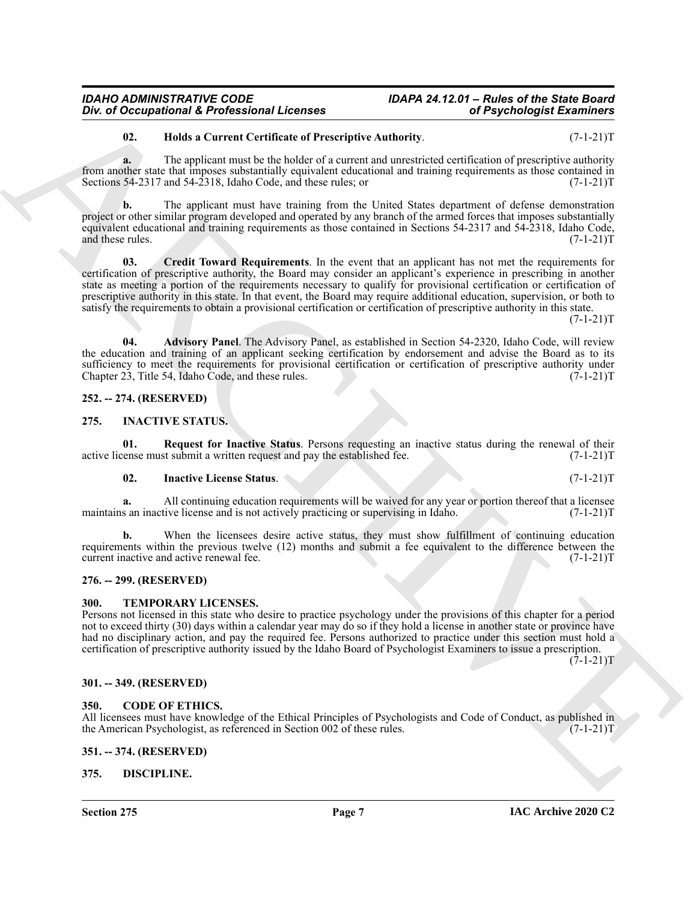# <span id="page-6-12"></span>**02. Holds a Current Certificate of Prescriptive Authority**. (7-1-21)T

**a.** The applicant must be the holder of a current and unrestricted certification of prescriptive authority from another state that imposes substantially equivalent educational and training requirements as those contained in Sections 54-2317 and 54-2318, Idaho Code, and these rules; or  $(7-1-21)$ T

<span id="page-6-11"></span>**b.** The applicant must have training from the United States department of defense demonstration project or other similar program developed and operated by any branch of the armed forces that imposes substantially equivalent educational and training requirements as those contained in Sections 54-2317 and 54-2318, Idaho Code, and these rules. (7-1-21)T

One of Occupational K. Professional Licenses<br>
26 A. Hole is Correst Certificate of Procedure Andhority.<br>
16 A. Hole is Correst Certificate of the correspondent control of Propel and the Correspondent of Procedure 2nd<br>
16 **03. Credit Toward Requirements**. In the event that an applicant has not met the requirements for certification of prescriptive authority, the Board may consider an applicant's experience in prescribing in another state as meeting a portion of the requirements necessary to qualify for provisional certification or certification of prescriptive authority in this state. In that event, the Board may require additional education, supervision, or both to satisfy the requirements to obtain a provisional certification or certification of prescriptive authority in this state.  $(7-1-21)T$ 

<span id="page-6-10"></span>**04. Advisory Panel**. The Advisory Panel, as established in Section 54-2320, Idaho Code, will review the education and training of an applicant seeking certification by endorsement and advise the Board as to its sufficiency to meet the requirements for provisional certification or certification of prescriptive authority under Chapter 23, Title 54, Idaho Code, and these rules. (7-1-21) Chapter  $23$ , Title 54, Idaho Code, and these rules.

# <span id="page-6-0"></span>**252. -- 274. (RESERVED)**

# <span id="page-6-13"></span><span id="page-6-1"></span>**275. INACTIVE STATUS.**

**01.** Request for Inactive Status. Persons requesting an inactive status during the renewal of their vense must submit a written request and pay the established fee.  $(7-1-21)$ active license must submit a written request and pay the established fee.

### <span id="page-6-15"></span><span id="page-6-14"></span>**02. Inactive License Status**. (7-1-21)T

**a.** All continuing education requirements will be waived for any year or portion thereof that a licensee maintains an inactive license and is not actively practicing or supervising in Idaho. (7-1-21)T

**b.** When the licensees desire active status, they must show fulfillment of continuing education requirements within the previous twelve (12) months and submit a fee equivalent to the difference between the current inactive and active renewal fee. (7-1-21)T

# <span id="page-6-2"></span>**276. -- 299. (RESERVED)**

### <span id="page-6-16"></span><span id="page-6-3"></span>**300. TEMPORARY LICENSES.**

Persons not licensed in this state who desire to practice psychology under the provisions of this chapter for a period not to exceed thirty (30) days within a calendar year may do so if they hold a license in another state or province have had no disciplinary action, and pay the required fee. Persons authorized to practice under this section must hold a certification of prescriptive authority issued by the Idaho Board of Psychologist Examiners to issue a prescription.

 $(7-1-21)T$ 

# <span id="page-6-4"></span>**301. -- 349. (RESERVED)**

# <span id="page-6-8"></span><span id="page-6-5"></span>**350. CODE OF ETHICS.**

All licensees must have knowledge of the Ethical Principles of Psychologists and Code of Conduct, as published in the American Psychologist, as referenced in Section 002 of these rules. (7-1-21) the American Psychologist, as referenced in Section 002 of these rules.

# <span id="page-6-6"></span>**351. -- 374. (RESERVED)**

# <span id="page-6-9"></span><span id="page-6-7"></span>**375. DISCIPLINE.**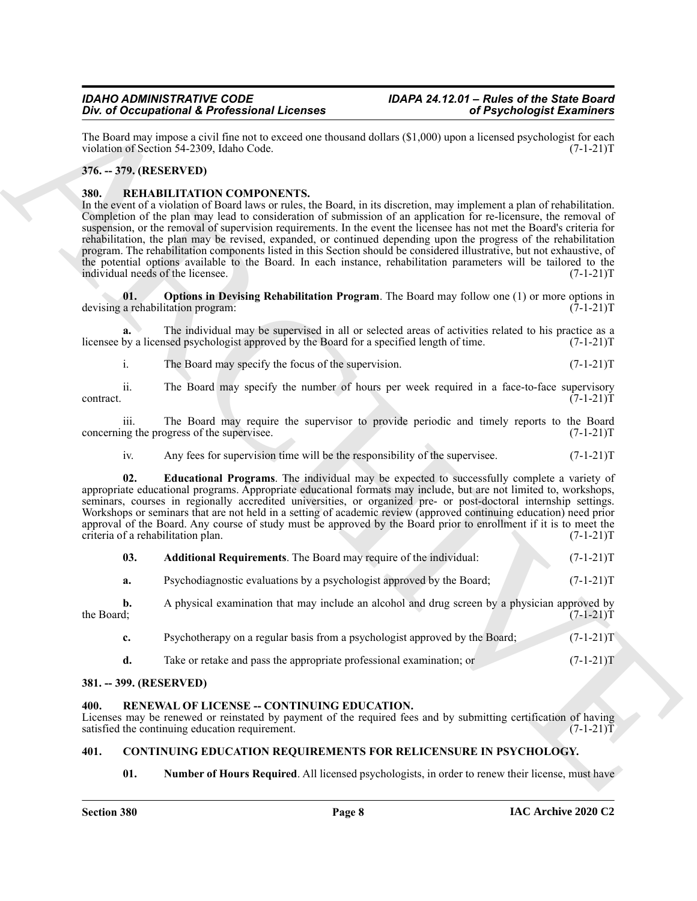# <span id="page-7-0"></span>**376. -- 379. (RESERVED)**

# <span id="page-7-10"></span><span id="page-7-7"></span><span id="page-7-1"></span>**380. REHABILITATION COMPONENTS.**

|                         | Div. of Occupational & Professional Licenses                                                                                                                                                                                                                                                                                                                                                                                                                                                                                                                                                                                                                                                                                                                                                                     | of Psychologist Examiners |                   |
|-------------------------|------------------------------------------------------------------------------------------------------------------------------------------------------------------------------------------------------------------------------------------------------------------------------------------------------------------------------------------------------------------------------------------------------------------------------------------------------------------------------------------------------------------------------------------------------------------------------------------------------------------------------------------------------------------------------------------------------------------------------------------------------------------------------------------------------------------|---------------------------|-------------------|
|                         | The Board may impose a civil fine not to exceed one thousand dollars (\$1,000) upon a licensed psychologist for each<br>violation of Section 54-2309, Idaho Code.                                                                                                                                                                                                                                                                                                                                                                                                                                                                                                                                                                                                                                                |                           | $(7-1-21)T$       |
| 376. -- 379. (RESERVED) |                                                                                                                                                                                                                                                                                                                                                                                                                                                                                                                                                                                                                                                                                                                                                                                                                  |                           |                   |
| 380.                    | REHABILITATION COMPONENTS.<br>In the event of a violation of Board laws or rules, the Board, in its discretion, may implement a plan of rehabilitation.<br>Completion of the plan may lead to consideration of submission of an application for re-licensure, the removal of<br>suspension, or the removal of supervision requirements. In the event the licensee has not met the Board's criteria for<br>rehabilitation, the plan may be revised, expanded, or continued depending upon the progress of the rehabilitation<br>program. The rehabilitation components listed in this Section should be considered illustrative, but not exhaustive, of<br>the potential options available to the Board. In each instance, rehabilitation parameters will be tailored to the<br>individual needs of the licensee. |                           | $(7-1-21)T$       |
| 01.                     | Options in Devising Rehabilitation Program. The Board may follow one (1) or more options in<br>devising a rehabilitation program:                                                                                                                                                                                                                                                                                                                                                                                                                                                                                                                                                                                                                                                                                |                           | $(7-1-21)T$       |
| a.                      | The individual may be supervised in all or selected areas of activities related to his practice as a<br>licensee by a licensed psychologist approved by the Board for a specified length of time.                                                                                                                                                                                                                                                                                                                                                                                                                                                                                                                                                                                                                |                           | $(7-1-21)T$       |
| i.                      | The Board may specify the focus of the supervision.                                                                                                                                                                                                                                                                                                                                                                                                                                                                                                                                                                                                                                                                                                                                                              |                           | $(7-1-21)T$       |
| ii.<br>contract.        | The Board may specify the number of hours per week required in a face-to-face supervisory                                                                                                                                                                                                                                                                                                                                                                                                                                                                                                                                                                                                                                                                                                                        |                           | $(7-1-21)T$       |
| iii.                    | The Board may require the supervisor to provide periodic and timely reports to the Board<br>concerning the progress of the supervisee.                                                                                                                                                                                                                                                                                                                                                                                                                                                                                                                                                                                                                                                                           |                           | $(7-1-21)T$       |
| iv.                     | Any fees for supervision time will be the responsibility of the supervisee.                                                                                                                                                                                                                                                                                                                                                                                                                                                                                                                                                                                                                                                                                                                                      |                           | $(7-1-21)T$       |
| 02.                     | <b>Educational Programs</b> . The individual may be expected to successfully complete a variety of<br>appropriate educational programs. Appropriate educational formats may include, but are not limited to, workshops,<br>seminars, courses in regionally accredited universities, or organized pre- or post-doctoral internship settings.<br>Workshops or seminars that are not held in a setting of academic review (approved continuing education) need prior<br>approval of the Board. Any course of study must be approved by the Board prior to enrollment if it is to meet the<br>criteria of a rehabilitation plan.                                                                                                                                                                                     |                           | $(7-1-21)T$       |
| 03.                     | Additional Requirements. The Board may require of the individual:                                                                                                                                                                                                                                                                                                                                                                                                                                                                                                                                                                                                                                                                                                                                                |                           | $(7-1-21)T$       |
| a.                      | Psychodiagnostic evaluations by a psychologist approved by the Board;                                                                                                                                                                                                                                                                                                                                                                                                                                                                                                                                                                                                                                                                                                                                            |                           | $(7-1-21)T$       |
| b.<br>the Board;        | A physical examination that may include an alcohol and drug screen by a physician approved by                                                                                                                                                                                                                                                                                                                                                                                                                                                                                                                                                                                                                                                                                                                    |                           | $(7-1-21)T$       |
| c.                      | Psychotherapy on a regular basis from a psychologist approved by the Board;                                                                                                                                                                                                                                                                                                                                                                                                                                                                                                                                                                                                                                                                                                                                      |                           | $(7-1-21)T$       |
| d.                      | Take or retake and pass the appropriate professional examination; or                                                                                                                                                                                                                                                                                                                                                                                                                                                                                                                                                                                                                                                                                                                                             |                           | $(7-1-21)T$       |
| 381. -- 399. (RESERVED) |                                                                                                                                                                                                                                                                                                                                                                                                                                                                                                                                                                                                                                                                                                                                                                                                                  |                           |                   |
| 400.                    | RENEWAL OF LICENSE -- CONTINUING EDUCATION.<br>Licenses may be renewed or reinstated by payment of the required fees and by submitting certification of having<br>satisfied the continuing education requirement.                                                                                                                                                                                                                                                                                                                                                                                                                                                                                                                                                                                                |                           | $(7-1-21)\bar{T}$ |
| 401.                    | CONTINUING EDUCATION REQUIREMENTS FOR RELICENSURE IN PSYCHOLOGY.                                                                                                                                                                                                                                                                                                                                                                                                                                                                                                                                                                                                                                                                                                                                                 |                           |                   |
| 01.                     | <b>Number of Hours Required.</b> All licensed psychologists, in order to renew their license, must have                                                                                                                                                                                                                                                                                                                                                                                                                                                                                                                                                                                                                                                                                                          |                           |                   |

# <span id="page-7-9"></span><span id="page-7-8"></span><span id="page-7-2"></span>**381. -- 399. (RESERVED)**

# <span id="page-7-11"></span><span id="page-7-3"></span>**400. RENEWAL OF LICENSE -- CONTINUING EDUCATION.**

# <span id="page-7-6"></span><span id="page-7-5"></span><span id="page-7-4"></span>**401. CONTINUING EDUCATION REQUIREMENTS FOR RELICENSURE IN PSYCHOLOGY.**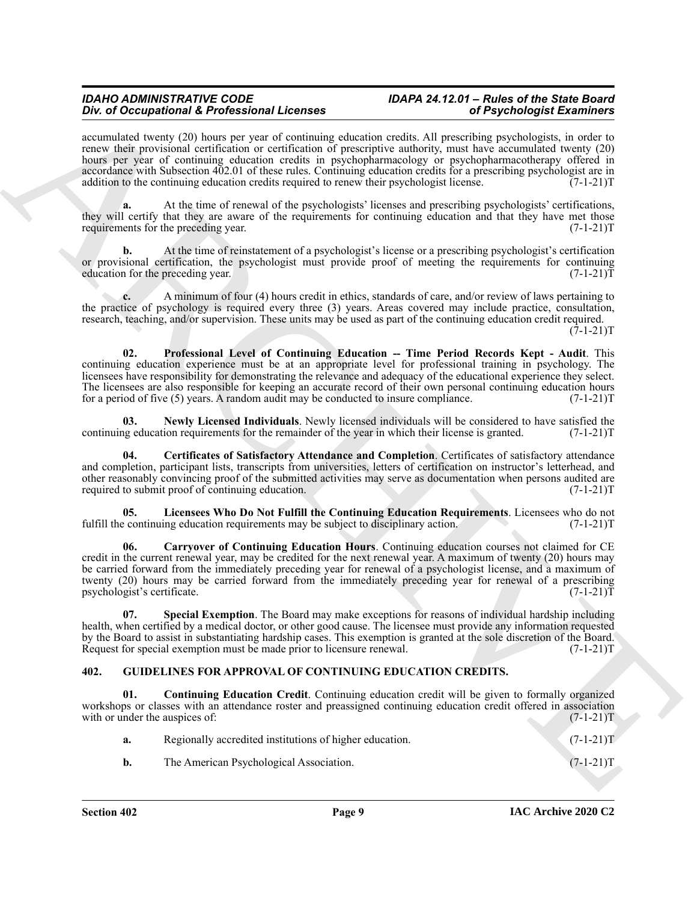accumulated twenty (20) hours per year of continuing education credits. All prescribing psychologists, in order to renew their provisional certification or certification of prescriptive authority, must have accumulated twenty (20) hours per year of continuing education credits in psychopharmacology or psychopharmacotherapy offered in accordance with Subsection 402.01 of these rules. Continuing education credits for a prescribing psychologist are in addition to the continuing education credits required to renew their psychologist license.  $(7-1-21)$ T

**a.** At the time of renewal of the psychologists' licenses and prescribing psychologists' certifications, they will certify that they are aware of the requirements for continuing education and that they have met those requirements for the preceding year.  $(7-1-21)T$ 

**b.** At the time of reinstatement of a psychologist's license or a prescribing psychologist's certification or provisional certification, the psychologist must provide proof of meeting the requirements for continuing education for the preceding year. (7-1-21) education for the preceding year.

<span id="page-8-5"></span>**c.** A minimum of four (4) hours credit in ethics, standards of care, and/or review of laws pertaining to the practice of psychology is required every three (3) years. Areas covered may include practice, consultation, research, teaching, and/or supervision. These units may be used as part of the continuing education credit required.  $(7-1-21)T$ 

ARCHIVE **02. Professional Level of Continuing Education -- Time Period Records Kept - Audit**. This continuing education experience must be at an appropriate level for professional training in psychology. The licensees have responsibility for demonstrating the relevance and adequacy of the educational experience they select. The licensees are also responsible for keeping an accurate record of their own personal continuing education hours for a period of five  $(5)$  years. A random audit may be conducted to insure compliance.  $(7-1-21)T$ 

<span id="page-8-4"></span>**03.** Newly Licensed Individuals. Newly licensed individuals will be considered to have satisfied the ng education requirements for the remainder of the year in which their license is granted. (7-1-21) continuing education requirements for the remainder of the year in which their license is granted.

<span id="page-8-2"></span>**04. Certificates of Satisfactory Attendance and Completion**. Certificates of satisfactory attendance and completion, participant lists, transcripts from universities, letters of certification on instructor's letterhead, and other reasonably convincing proof of the submitted activities may serve as documentation when persons audited are required to submit proof of continuing education. (7-1-21)T

<span id="page-8-3"></span>**05.** Licensees Who Do Not Fulfill the Continuing Education Requirements. Licensees who do not continuing education requirements may be subject to disciplinary action. (7-1-21) fulfill the continuing education requirements may be subject to disciplinary action.

<span id="page-8-1"></span>**06. Carryover of Continuing Education Hours**. Continuing education courses not claimed for CE credit in the current renewal year, may be credited for the next renewal year. A maximum of twenty (20) hours may be carried forward from the immediately preceding year for renewal of a psychologist license, and a maximum of twenty (20) hours may be carried forward from the immediately preceding year for renewal of a prescribing psychologist's certificate. (7-1-21)T

<span id="page-8-6"></span>**07. Special Exemption**. The Board may make exceptions for reasons of individual hardship including health, when certified by a medical doctor, or other good cause. The licensee must provide any information requested by the Board to assist in substantiating hardship cases. This exemption is granted at the sole discretion of the Board.<br>Request for special exemption must be made prior to licensure renewal. (7-1-21) Request for special exemption must be made prior to licensure renewal.

# <span id="page-8-7"></span><span id="page-8-0"></span>**402. GUIDELINES FOR APPROVAL OF CONTINUING EDUCATION CREDITS.**

**01. Continuing Education Credit**. Continuing education credit will be given to formally organized workshops or classes with an attendance roster and preassigned continuing education credit offered in association with or under the auspices of:  $(7-1-21)$ T

<span id="page-8-8"></span>

| а. | Regionally accredited institutions of higher education. | $(7-1-21)T$ |
|----|---------------------------------------------------------|-------------|
| b. | The American Psychological Association.                 | $(7-1-21)T$ |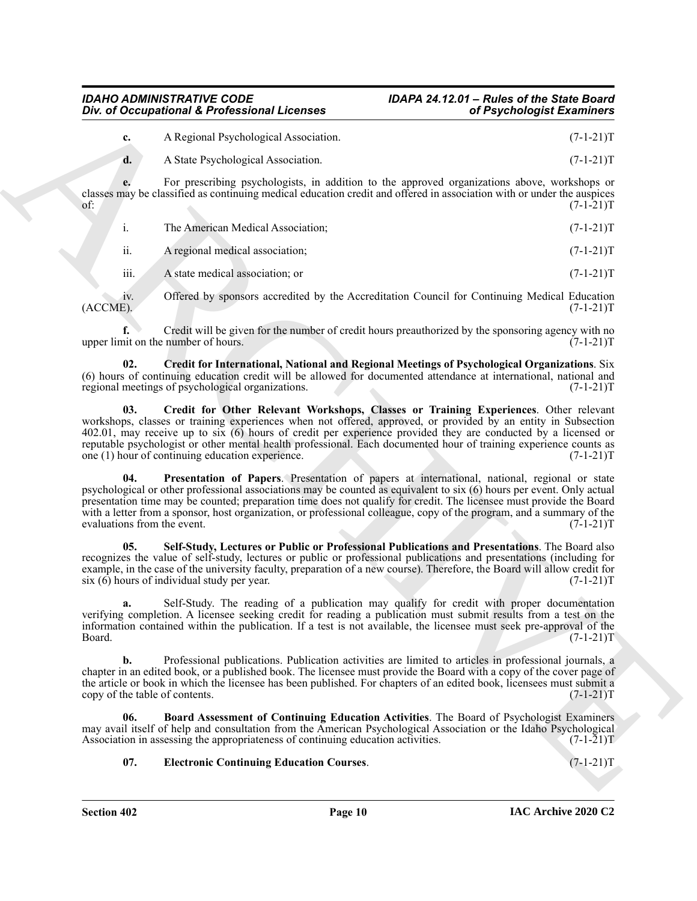**d.** A State Psychological Association. (7-1-21)T

**e.** For prescribing psychologists, in addition to the approved organizations above, workshops or classes may be classified as continuing medical education credit and offered in association with or under the auspices of:  $(7-1-21)T$ 

|     | The American Medical Association: | $(7-1-21)T$ |
|-----|-----------------------------------|-------------|
| ii. | A regional medical association;   | $(7-1-21)T$ |

iii. A state medical association; or  $(7-1-21)T$ 

iv. Offered by sponsors accredited by the Accreditation Council for Continuing Medical Education (ACCME). (7-1-21)T  $(ACCME)$ .  $(7-1-21)T$ 

**f.** Credit will be given for the number of credit hours preauthorized by the sponsoring agency with no upper limit on the number of hours. (7-1-21)T

<span id="page-9-1"></span>**02. Credit for International, National and Regional Meetings of Psychological Organizations**. Six (6) hours of continuing education credit will be allowed for documented attendance at international, national and regional meetings of psychological organizations.  $(7-1-21)$ regional meetings of psychological organizations.

<span id="page-9-4"></span><span id="page-9-2"></span>**03. Credit for Other Relevant Workshops, Classes or Training Experiences**. Other relevant workshops, classes or training experiences when not offered, approved, or provided by an entity in Subsection 402.01, may receive up to six (6) hours of credit per experience provided they are conducted by a licensed or reputable psychologist or other mental health professional. Each documented hour of training experience counts as one (1) hour of continuing education experience. (7-1-21) one  $(1)$  hour of continuing education experience.

One of Occupational K. Professional Licenses<br>
A Northeast Movement Licenses<br>
A ARCHIVE State Association and the system and the system and the system and the system and the system and the system and the system and the sys **04. Presentation of Papers**. Presentation of papers at international, national, regional or state psychological or other professional associations may be counted as equivalent to six (6) hours per event. Only actual presentation time may be counted; preparation time does not qualify for credit. The licensee must provide the Board with a letter from a sponsor, host organization, or professional colleague, copy of the program, and a summary of the evaluations from the event. (7-1-21) evaluations from the event.

<span id="page-9-5"></span>**05. Self-Study, Lectures or Public or Professional Publications and Presentations**. The Board also recognizes the value of self-study, lectures or public or professional publications and presentations (including for example, in the case of the university faculty, preparation of a new course). Therefore, the Board will allow credit for six (6) hours of individual study per year. (7-1-21) six  $(6)$  hours of individual study per year.

**a.** Self-Study. The reading of a publication may qualify for credit with proper documentation verifying completion. A licensee seeking credit for reading a publication must submit results from a test on the information contained within the publication. If a test is not available, the licensee must seek pre-approval of the  $Board.$  (7-1-21) $T$ 

**b.** Professional publications. Publication activities are limited to articles in professional journals, a chapter in an edited book, or a published book. The licensee must provide the Board with a copy of the cover page of the article or book in which the licensee has been published. For chapters of an edited book, licensees must submit a copy of the table of contents. (7-1-21) copy of the table of contents.

**06. Board Assessment of Continuing Education Activities**. The Board of Psychologist Examiners may avail itself of help and consultation from the American Psychological Association or the Idaho Psychological Association in assessing the appropriateness of continuing education activities. (7-1-21)T

# <span id="page-9-3"></span><span id="page-9-0"></span>**07. Electronic Continuing Education Courses**. (7-1-21)T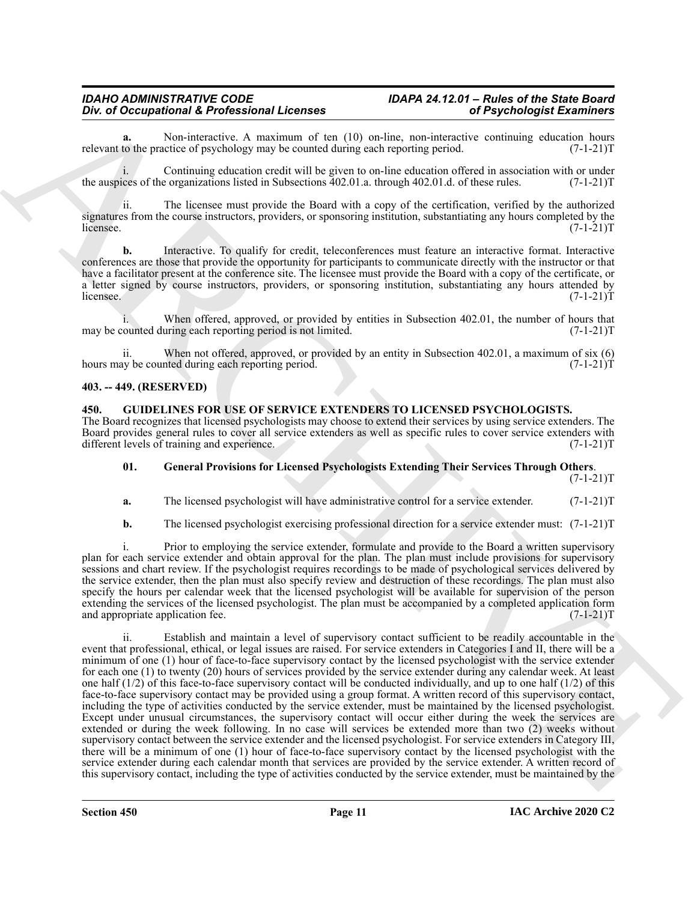Non-interactive. A maximum of ten (10) on-line, non-interactive continuing education hours citice of psychology may be counted during each reporting period. (7-1-21)<sup>T</sup> relevant to the practice of psychology may be counted during each reporting period.

i. Continuing education credit will be given to on-line education offered in association with or under the auspices of the organizations listed in Subsections 402.01.a. through 402.01.d. of these rules. (7-1-21)T

ii. The licensee must provide the Board with a copy of the certification, verified by the authorized signatures from the course instructors, providers, or sponsoring institution, substantiating any hours completed by the licensee. (7-1-21)  $l$  (7-1-21)T

**b.** Interactive. To qualify for credit, teleconferences must feature an interactive format. Interactive conferences are those that provide the opportunity for participants to communicate directly with the instructor or that have a facilitator present at the conference site. The licensee must provide the Board with a copy of the certificate, or a letter signed by course instructors, providers, or sponsoring institution, substantiating any hours attended by  $l$  (7-1-21) $T$  (7-1-21) $T$ 

i. When offered, approved, or provided by entities in Subsection 402.01, the number of hours that ounted during each reporting period is not limited.  $(7-1-21)$ may be counted during each reporting period is not limited.

ii. When not offered, approved, or provided by an entity in Subsection 402.01, a maximum of six (6) hours may be counted during each reporting period. (7-1-21)T

# <span id="page-10-0"></span>**403. -- 449. (RESERVED)**

<span id="page-10-2"></span><span id="page-10-1"></span>**450. GUIDELINES FOR USE OF SERVICE EXTENDERS TO LICENSED PSYCHOLOGISTS.** The Board recognizes that licensed psychologists may choose to extend their services by using service extenders. The Board provides general rules to cover all service extenders as well as specific rules to cover service extenders with different levels of training and experience. (7-1-21) different levels of training and experience.

# <span id="page-10-3"></span>**01. General Provisions for Licensed Psychologists Extending Their Services Through Others**.

 $(7-1-21)T$ 

**a.** The licensed psychologist will have administrative control for a service extender. (7-1-21)T

**b.** The licensed psychologist exercising professional direction for a service extender must:  $(7-1-21)$ T

i. Prior to employing the service extender, formulate and provide to the Board a written supervisory plan for each service extender and obtain approval for the plan. The plan must include provisions for supervisory sessions and chart review. If the psychologist requires recordings to be made of psychological services delivered by the service extender, then the plan must also specify review and destruction of these recordings. The plan must also specify the hours per calendar week that the licensed psychologist will be available for supervision of the person extending the services of the licensed psychologist. The plan must be accompanied by a completed application form and appropriate application fee. (7-1-21)T

The detection of the professional Life and the state is a provided by an entity of the state is a state of the state of the state of the state of the state of the state of the state of the state of the state of the state ii. Establish and maintain a level of supervisory contact sufficient to be readily accountable in the event that professional, ethical, or legal issues are raised. For service extenders in Categories I and II, there will be a minimum of one (1) hour of face-to-face supervisory contact by the licensed psychologist with the service extender for each one (1) to twenty (20) hours of services provided by the service extender during any calendar week. At least one half  $(1/2)$  of this face-to-face supervisory contact will be conducted individually, and up to one half  $(1/2)$  of this face-to-face supervisory contact may be provided using a group format. A written record of this supervisory contact, including the type of activities conducted by the service extender, must be maintained by the licensed psychologist. Except under unusual circumstances, the supervisory contact will occur either during the week the services are extended or during the week following. In no case will services be extended more than two (2) weeks without supervisory contact between the service extender and the licensed psychologist. For service extenders in Category III, there will be a minimum of one (1) hour of face-to-face supervisory contact by the licensed psychologist with the service extender during each calendar month that services are provided by the service extender. A written record of this supervisory contact, including the type of activities conducted by the service extender, must be maintained by the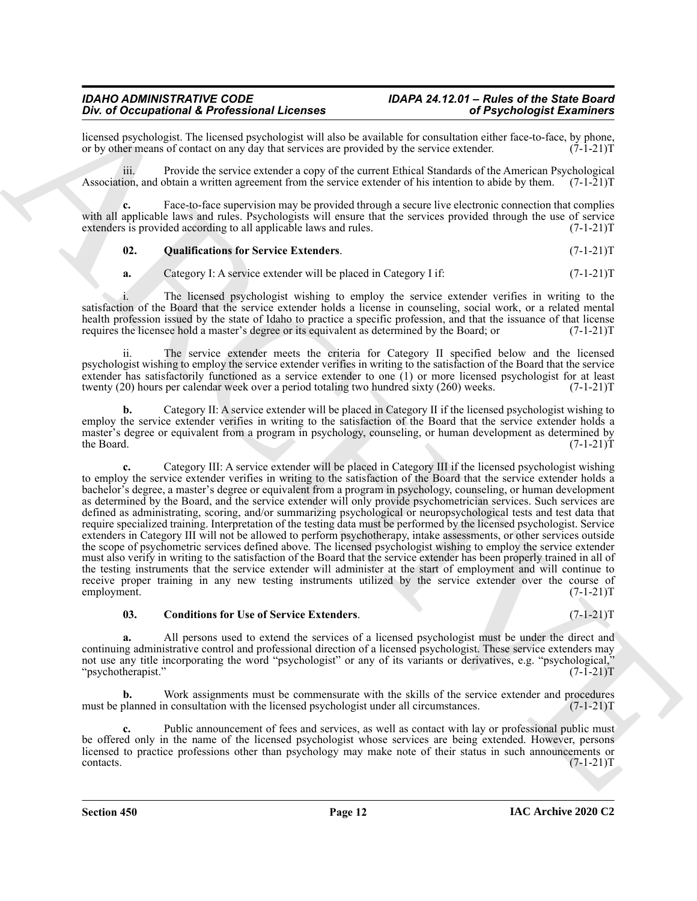licensed psychologist. The licensed psychologist will also be available for consultation either face-to-face, by phone, or by other means of contact on any day that services are provided by the service extender. (7-1-21) or by other means of contact on any day that services are provided by the service extender.

iii. Provide the service extender a copy of the current Ethical Standards of the American Psychological Association, and obtain a written agreement from the service extender of his intention to abide by them.  $(7-1-21)T$ 

**c.** Face-to-face supervision may be provided through a secure live electronic connection that complies with all applicable laws and rules. Psychologists will ensure that the services provided through the use of service extenders is provided according to all applicable laws and rules. (7-1-21) (7-1-21)

# <span id="page-11-1"></span>**02. Qualifications for Service Extenders**. (7-1-21)T

**a.** Category I: A service extender will be placed in Category I if:  $(7-1-21)T$ 

i. The licensed psychologist wishing to employ the service extender verifies in writing to the satisfaction of the Board that the service extender holds a license in counseling, social work, or a related mental health profession issued by the state of Idaho to practice a specific profession, and that the issuance of that license<br>requires the license hold a master's degree or its equivalent as determined by the Board; or  $(7-1-21)$ requires the licensee hold a master's degree or its equivalent as determined by the Board; or

The service extender meets the criteria for Category II specified below and the licensed psychologist wishing to employ the service extender verifies in writing to the satisfaction of the Board that the service extender has satisfactorily functioned as a service extender to one (1) or more licensed psychologist for at least twenty (20) hours per calendar week over a period totaling two hundred sixty (260) weeks.  $(7-1-21)$ T twenty  $(20)$  hours per calendar week over a period totaling two hundred sixty  $(260)$  weeks.

**b.** Category II: A service extender will be placed in Category II if the licensed psychologist wishing to employ the service extender verifies in writing to the satisfaction of the Board that the service extender holds a master's degree or equivalent from a program in psychology, counseling, or human development as determined by the Board. (7-1-21)T the Board. (7-1-21)T

Div of Decemberation 1.6 Polytics and the strength is exactly included in the strength Externion Control in the strength of the strength of the strength of the strength of the strength of the strength of the strength of t **c.** Category III: A service extender will be placed in Category III if the licensed psychologist wishing to employ the service extender verifies in writing to the satisfaction of the Board that the service extender holds a bachelor's degree, a master's degree or equivalent from a program in psychology, counseling, or human development as determined by the Board, and the service extender will only provide psychometrician services. Such services are defined as administrating, scoring, and/or summarizing psychological or neuropsychological tests and test data that require specialized training. Interpretation of the testing data must be performed by the licensed psychologist. Service extenders in Category III will not be allowed to perform psychotherapy, intake assessments, or other services outside the scope of psychometric services defined above. The licensed psychologist wishing to employ the service extender must also verify in writing to the satisfaction of the Board that the service extender has been properly trained in all of the testing instruments that the service extender will administer at the start of employment and will continue to receive proper training in any new testing instruments utilized by the service extender over the course of employment. (7-1-21)T

#### <span id="page-11-0"></span>**03. Conditions for Use of Service Extenders**. (7-1-21)T

**a.** All persons used to extend the services of a licensed psychologist must be under the direct and continuing administrative control and professional direction of a licensed psychologist. These service extenders may not use any title incorporating the word "psychologist" or any of its variants or derivatives, e.g. "psychological," "psychotherapist." (7-1-21)T

**b.** Work assignments must be commensurate with the skills of the service extender and procedures planned in consultation with the licensed psychologist under all circumstances. (7-1-21) must be planned in consultation with the licensed psychologist under all circumstances.

Public announcement of fees and services, as well as contact with lay or professional public must be offered only in the name of the licensed psychologist whose services are being extended. However, persons licensed to practice professions other than psychology may make note of their status in such announcements or contacts. (7-1-21)T  $\text{constants.}$  (7-1-21)T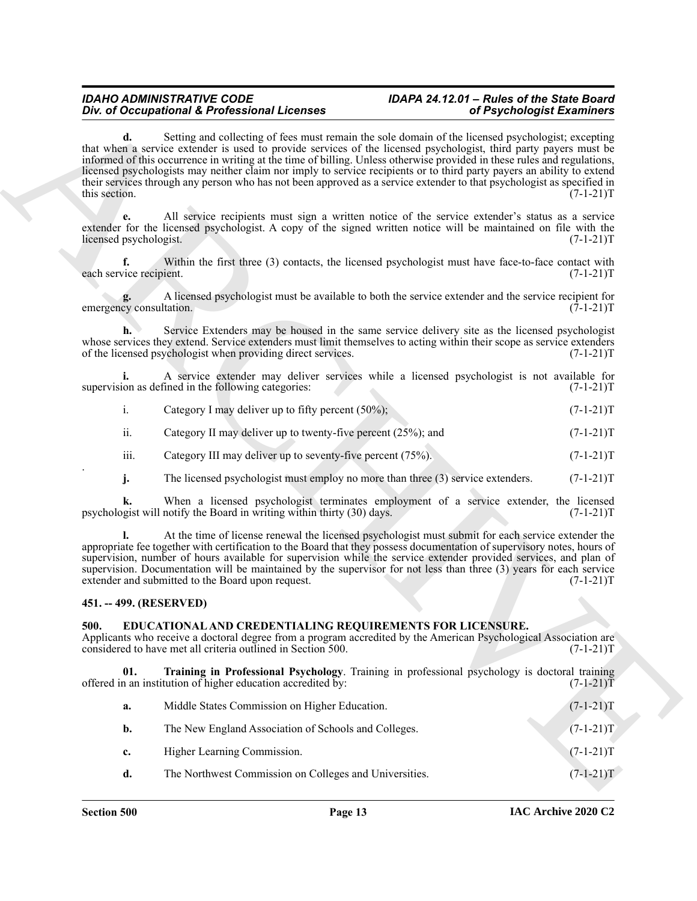|  |                                                       |  | $(7-1-21)T$ |  |
|--|-------------------------------------------------------|--|-------------|--|
|  | Category I may deliver up to fifty percent $(50\%)$ ; |  |             |  |
|  |                                                       |  |             |  |

- iii. Category III may deliver up to seventy-five percent  $(75\%)$ .  $(7-1-21)T$
- **j.** The licensed psychologist must employ no more than three (3) service extenders. (7-1-21)T

### <span id="page-12-0"></span>**451. -- 499. (RESERVED)**

### <span id="page-12-3"></span><span id="page-12-2"></span><span id="page-12-1"></span>**500. EDUCATIONAL AND CREDENTIALING REQUIREMENTS FOR LICENSURE.**

|                               | Div. of Occupational & Professional Licenses                                                                              | of Psychologist Examiners                                                                                                                                                                                                                                                                                                                                                                                                                                                                                                                                                                                              |
|-------------------------------|---------------------------------------------------------------------------------------------------------------------------|------------------------------------------------------------------------------------------------------------------------------------------------------------------------------------------------------------------------------------------------------------------------------------------------------------------------------------------------------------------------------------------------------------------------------------------------------------------------------------------------------------------------------------------------------------------------------------------------------------------------|
| d.<br>this section.           |                                                                                                                           | Setting and collecting of fees must remain the sole domain of the licensed psychologist; excepting<br>that when a service extender is used to provide services of the licensed psychologist, third party payers must be<br>informed of this occurrence in writing at the time of billing. Unless otherwise provided in these rules and regulations,<br>licensed psychologists may neither claim nor imply to service recipients or to third party payers an ability to extend<br>their services through any person who has not been approved as a service extender to that psychologist as specified in<br>$(7-1-21)T$ |
| licensed psychologist.        |                                                                                                                           | All service recipients must sign a written notice of the service extender's status as a service<br>extender for the licensed psychologist. A copy of the signed written notice will be maintained on file with the<br>$(7-1-21)T$                                                                                                                                                                                                                                                                                                                                                                                      |
| f.<br>each service recipient. |                                                                                                                           | Within the first three (3) contacts, the licensed psychologist must have face-to-face contact with<br>$(7-1-21)T$                                                                                                                                                                                                                                                                                                                                                                                                                                                                                                      |
| emergency consultation.       |                                                                                                                           | A licensed psychologist must be available to both the service extender and the service recipient for<br>$(7-1-21)T$                                                                                                                                                                                                                                                                                                                                                                                                                                                                                                    |
|                               | of the licensed psychologist when providing direct services.                                                              | Service Extenders may be housed in the same service delivery site as the licensed psychologist<br>whose services they extend. Service extenders must limit themselves to acting within their scope as service extenders<br>$(7-1-21)T$                                                                                                                                                                                                                                                                                                                                                                                 |
|                               | supervision as defined in the following categories:                                                                       | A service extender may deliver services while a licensed psychologist is not available for<br>$(7-1-21)T$                                                                                                                                                                                                                                                                                                                                                                                                                                                                                                              |
| i.                            | Category I may deliver up to fifty percent $(50\%)$ ;                                                                     | $(7-1-21)T$                                                                                                                                                                                                                                                                                                                                                                                                                                                                                                                                                                                                            |
| ii.                           | Category II may deliver up to twenty-five percent (25%); and                                                              | $(7-1-21)T$                                                                                                                                                                                                                                                                                                                                                                                                                                                                                                                                                                                                            |
| iii.                          | Category III may deliver up to seventy-five percent (75%).                                                                | $(7-1-21)T$                                                                                                                                                                                                                                                                                                                                                                                                                                                                                                                                                                                                            |
| j.                            | The licensed psychologist must employ no more than three (3) service extenders.                                           | $(7-1-21)T$                                                                                                                                                                                                                                                                                                                                                                                                                                                                                                                                                                                                            |
| k.                            | psychologist will notify the Board in writing within thirty (30) days.                                                    | When a licensed psychologist terminates employment of a service extender, the licensed<br>$(7-1-21)T$                                                                                                                                                                                                                                                                                                                                                                                                                                                                                                                  |
|                               | extender and submitted to the Board upon request.                                                                         | At the time of license renewal the licensed psychologist must submit for each service extender the<br>appropriate fee together with certification to the Board that they possess documentation of supervisory notes, hours of<br>supervision, number of hours available for supervision while the service extender provided services, and plan of<br>supervision. Documentation will be maintained by the supervisor for not less than three (3) years for each service<br>$(7-1-21)T$                                                                                                                                 |
| 451. -- 499. (RESERVED)       |                                                                                                                           |                                                                                                                                                                                                                                                                                                                                                                                                                                                                                                                                                                                                                        |
| 500.                          | EDUCATIONAL AND CREDENTIALING REQUIREMENTS FOR LICENSURE.<br>considered to have met all criteria outlined in Section 500. | Applicants who receive a doctoral degree from a program accredited by the American Psychological Association are<br>$(7-1-21)T$                                                                                                                                                                                                                                                                                                                                                                                                                                                                                        |
| 01.                           | offered in an institution of higher education accredited by:                                                              | Training in Professional Psychology. Training in professional psychology is doctoral training<br>$(7-1-21)T$                                                                                                                                                                                                                                                                                                                                                                                                                                                                                                           |
| a.                            | Middle States Commission on Higher Education.                                                                             | $(7-1-21)T$                                                                                                                                                                                                                                                                                                                                                                                                                                                                                                                                                                                                            |
| b.                            | The New England Association of Schools and Colleges.                                                                      | $(7-1-21)T$                                                                                                                                                                                                                                                                                                                                                                                                                                                                                                                                                                                                            |
| c.                            | Higher Learning Commission.                                                                                               | $(7-1-21)T$                                                                                                                                                                                                                                                                                                                                                                                                                                                                                                                                                                                                            |
| d.                            | The Northwest Commission on Colleges and Universities.                                                                    | $(7-1-21)T$                                                                                                                                                                                                                                                                                                                                                                                                                                                                                                                                                                                                            |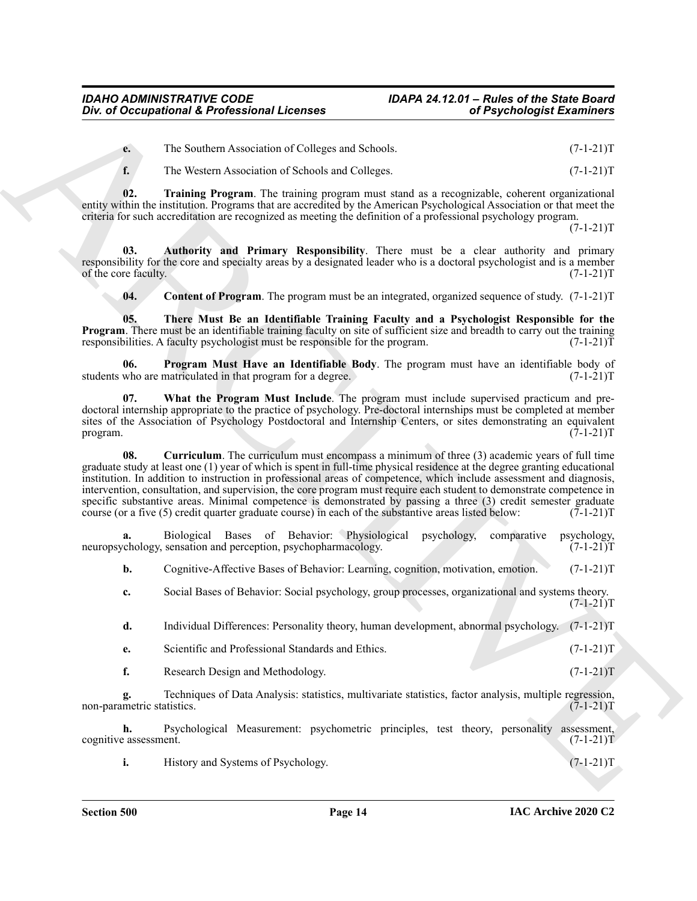**e.** The Southern Association of Colleges and Schools. (7-1-21)T

<span id="page-13-5"></span>**f.** The Western Association of Schools and Colleges. (7-1-21)T

**02. Training Program**. The training program must stand as a recognizable, coherent organizational entity within the institution. Programs that are accredited by the American Psychological Association or that meet the criteria for such accreditation are recognized as meeting the definition of a professional psychology program.

 $(7-1-21)T$ 

**03. Authority and Primary Responsibility**. There must be a clear authority and primary responsibility for the core and specialty areas by a designated leader who is a doctoral psychologist and is a member<br>of the core faculty. (7-1-21)T of the core faculty.

<span id="page-13-4"></span><span id="page-13-3"></span><span id="page-13-1"></span><span id="page-13-0"></span>**04.** Content of Program. The program must be an integrated, organized sequence of study. (7-1-21)T

**05. There Must Be an Identifiable Training Faculty and a Psychologist Responsible for the Program**. There must be an identifiable training faculty on site of sufficient size and breadth to carry out the training responsibilities. A faculty psychologist must be responsible for the program. (7-1-21)T

**06. Program Must Have an Identifiable Body**. The program must have an identifiable body of who are matriculated in that program for a degree. (7-1-21) students who are matriculated in that program for a degree.

<span id="page-13-6"></span><span id="page-13-2"></span>**07. What the Program Must Include**. The program must include supervised practicum and predoctoral internship appropriate to the practice of psychology. Pre-doctoral internships must be completed at member sites of the Association of Psychology Postdoctoral and Internship Centers, or sites demonstrating an equivalent program. (7-1-21)T program.  $(7-1-21)T$ 

One of Occupational K. Professional Licenses<br>
The Southern Arcsecution of Chipse and School<br>
The Southern Arcsecution of Chipse and School<br>
(1-1-21) The Southern Arcsecution of Chipse and School<br>
(1-1-21) The Southern Arc **08. Curriculum**. The curriculum must encompass a minimum of three (3) academic years of full time graduate study at least one (1) year of which is spent in full-time physical residence at the degree granting educational institution. In addition to instruction in professional areas of competence, which include assessment and diagnosis, intervention, consultation, and supervision, the core program must require each student to demonstrate competence in specific substantive areas. Minimal competence is demonstrated by passing a three (3) credit semester graduate course (or a five (5) credit quarter graduate course) in each of the substantive areas listed below: (7-1-21)T

**a.** Biological Bases of Behavior: Physiological psychology, comparative psychology, enhanced psychopharmacology. (7-1-21) neuropsychology, sensation and perception, psychopharmacology.

**b.** Cognitive-Affective Bases of Behavior: Learning, cognition, motivation, emotion. (7-1-21)T

- **c.** Social Bases of Behavior: Social psychology, group processes, organizational and systems theory.  $(7-1-21)T$
- **d.** Individual Differences: Personality theory, human development, abnormal psychology. (7-1-21)T
- **e.** Scientific and Professional Standards and Ethics. (7-1-21)T
- **f.** Research Design and Methodology. (7-1-21)T

**g.** Techniques of Data Analysis: statistics, multivariate statistics, factor analysis, multiple regression, metric statistics. (7-1-21)T non-parametric statistics.

**h.** Psychological Measurement: psychometric principles, test theory, personality assessment, cognitive assessment. (7-1-21)T

**i.** History and Systems of Psychology. (7-1-21)T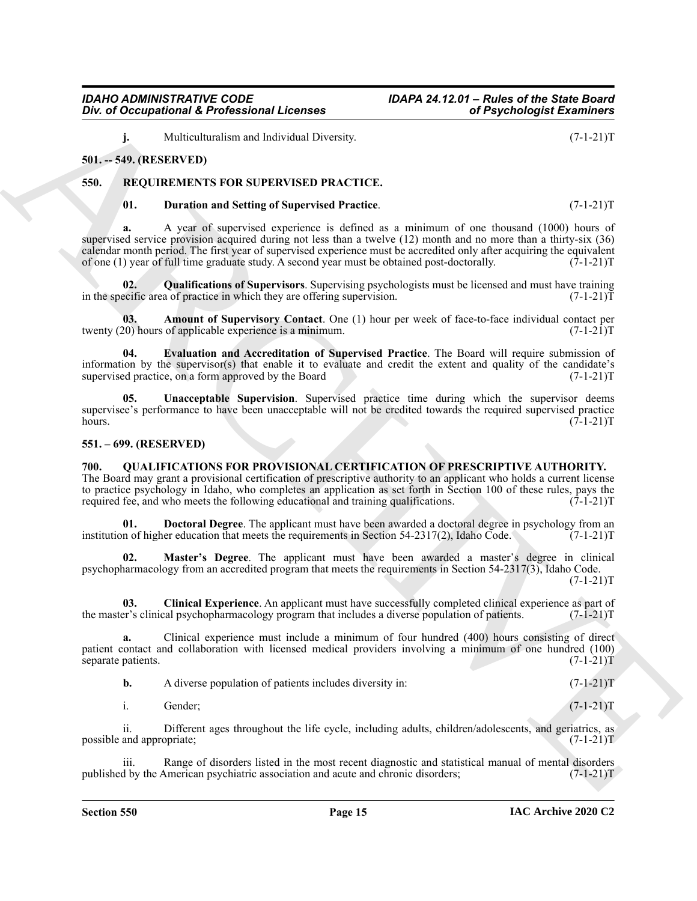<span id="page-14-1"></span>**550. REQUIREMENTS FOR SUPERVISED PRACTICE.**

One of Occupational K. Professional Licenses<br>
ARCHIVES IN the statement in the relation of Psychologial Externios (2-1-211)<br>
Shi, the Mouthwealer and Setting of Supervised President (2-1-211)<br>
Shi, Professional Setting of **01. Duration and Setting of Supervised Practice**. (7-1-21)T **a.** A year of supervised experience is defined as a minimum of one thousand (1000) hours of supervised service provision acquired during not less than a twelve (12) month and no more than a thirty-six (36) calendar month period. The first year of supervised experience must be accredited only after acquiring the equivalent of one (1) year of full time graduate study. A second year must be obtained post-doctorally. (7-1-21)T

<span id="page-14-12"></span>**02. Qualifications of Supervisors**. Supervising psychologists must be licensed and must have training in the specific area of practice in which they are offering supervision.  $(7-1-21)T$ 

<span id="page-14-9"></span>**03.** Amount of Supervisory Contact. One (1) hour per week of face-to-face individual contact per (0) hours of applicable experience is a minimum. twenty  $(20)$  hours of applicable experience is a minimum.

<span id="page-14-11"></span>**04. Evaluation and Accreditation of Supervised Practice**. The Board will require submission of information by the supervisor(s) that enable it to evaluate and credit the extent and quality of the candidate's supervised practice, on a form approved by the Board  $(7-1-21)$ T supervised practice, on a form approved by the Board

<span id="page-14-13"></span>**05. Unacceptable Supervision**. Supervised practice time during which the supervisor deems supervisee's performance to have been unacceptable will not be credited towards the required supervised practice<br>(7-1-21)T hours.  $(7-1-21)T$ 

#### <span id="page-14-2"></span>**551. – 699. (RESERVED)**

<span id="page-14-0"></span>**501. -- 549. (RESERVED)**

<span id="page-14-4"></span><span id="page-14-3"></span>**700. QUALIFICATIONS FOR PROVISIONAL CERTIFICATION OF PRESCRIPTIVE AUTHORITY.** The Board may grant a provisional certification of prescriptive authority to an applicant who holds a current license to practice psychology in Idaho, who completes an application as set forth in Section 100 of these rules, pays the required fee, and who meets the following educational and training qualifications. (7-1-21) required fee, and who meets the following educational and training qualifications.

<span id="page-14-6"></span>**01. Doctoral Degree**. The applicant must have been awarded a doctoral degree in psychology from an in of higher education that meets the requirements in Section 54-2317(2), Idaho Code. (7-1-21)T institution of higher education that meets the requirements in Section  $54-2317(2)$ , Idaho Code.

<span id="page-14-7"></span>**02. Master's Degree**. The applicant must have been awarded a master's degree in clinical psychopharmacology from an accredited program that meets the requirements in Section 54-2317(3), Idaho Code.  $(7-1-21)T$ 

<span id="page-14-5"></span>**03. Clinical Experience**. An applicant must have successfully completed clinical experience as part of the master's clinical psychopharmacology program that includes a diverse population of patients. (7-1-21)T

**a.** Clinical experience must include a minimum of four hundred (400) hours consisting of direct patient contact and collaboration with licensed medical providers involving a minimum of one hundred (100) separate patients.  $(7-1-21)T$ 

| A diverse population of patients includes diversity in:<br>b. |  | $(7-1-21)T$ |  |
|---------------------------------------------------------------|--|-------------|--|
|---------------------------------------------------------------|--|-------------|--|

i. Gender; (7-1-21)T

ii. Different ages throughout the life cycle, including adults, children/adolescents, and geriatrics, as and appropriate: (7-1-21)T possible and appropriate;

Range of disorders listed in the most recent diagnostic and statistical manual of mental disorders (7-1-21)T<br>American psychiatric association and acute and chronic disorders; (7-1-21)T published by the American psychiatric association and acute and chronic disorders;

<span id="page-14-10"></span><span id="page-14-8"></span>**j.** Multiculturalism and Individual Diversity. (7-1-21)T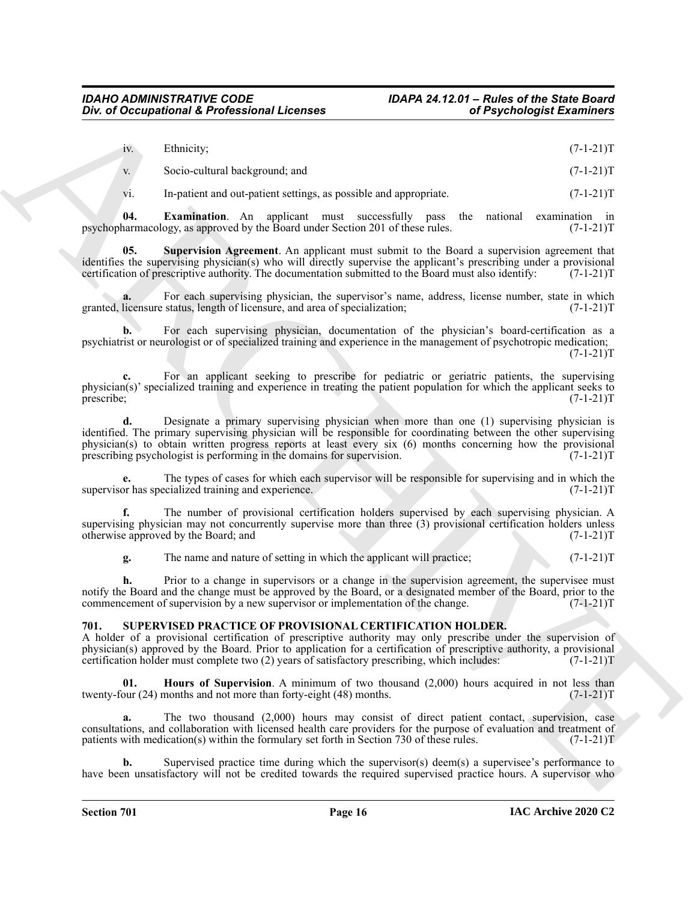| iv. Ethnicity; |  |  | $(7-1-21)T$ |
|----------------|--|--|-------------|
|                |  |  |             |

v. Socio-cultural background; and (7-1-21)T

<span id="page-15-2"></span><span id="page-15-1"></span>vi. In-patient and out-patient settings, as possible and appropriate.  $(7-1-21)T$ 

**04.** Examination. An applicant must successfully pass the national examination in harmacology, as approved by the Board under Section 201 of these rules. (7-1-21) psychopharmacology, as approved by the Board under Section 201 of these rules.

**05. Supervision Agreement**. An applicant must submit to the Board a supervision agreement that identifies the supervising physician(s) who will directly supervise the applicant's prescribing under a provisional certification of prescriptive authority. The documentation submitted to the Board must also identify: (7-1 certification of prescriptive authority. The documentation submitted to the Board must also identify:

For each supervising physician, the supervisor's name, address, license number, state in which status, length of licensure, and area of specialization; (7-1-21)<sup>T</sup> granted, licensure status, length of licensure, and area of specialization;

**b.** For each supervising physician, documentation of the physician's board-certification as a psychiatrist or neurologist or of specialized training and experience in the management of psychotropic medication;  $(7-1-21)T$ 

**c.** For an applicant seeking to prescribe for pediatric or geriatric patients, the supervising physician(s)' specialized training and experience in treating the patient population for which the applicant seeks to prescribe; (7-1-21)T prescribe; (7-1-21)T

ARCHIVE **d.** Designate a primary supervising physician when more than one (1) supervising physician is identified. The primary supervising physician will be responsible for coordinating between the other supervising physician(s) to obtain written progress reports at least every six (6) months concerning how the provisional prescribing psychologist is performing in the domains for supervision. (7-1-21) prescribing psychologist is performing in the domains for supervision.

**e.** The types of cases for which each supervisor will be responsible for supervising and in which the or has specialized training and experience.  $(7-1-21)$ supervisor has specialized training and experience.

**f.** The number of provisional certification holders supervised by each supervising physician. A supervising physician may not concurrently supervise more than three (3) provisional certification holders unless otherwise approved by the Board; and  $(7-1-21)$ T otherwise approved by the Board; and

**g.** The name and nature of setting in which the applicant will practice;  $(7-1-21)$ T

**h.** Prior to a change in supervisors or a change in the supervision agreement, the supervisee must notify the Board and the change must be approved by the Board, or a designated member of the Board, prior to the commencement of supervision by a new supervisor or implementation of the change. (7-1-21)T

# <span id="page-15-3"></span><span id="page-15-0"></span>**701. SUPERVISED PRACTICE OF PROVISIONAL CERTIFICATION HOLDER.**

A holder of a provisional certification of prescriptive authority may only prescribe under the supervision of physician(s) approved by the Board. Prior to application for a certification of prescriptive authority, a provisional certification holder must complete two (2) years of satisfactory prescribing, which includes: (7-1-21)T

<span id="page-15-4"></span>**01. Hours of Supervision**. A minimum of two thousand (2,000) hours acquired in not less than our (24) months and not more than forty-eight (48) months. (7-1-21) twenty-four  $(24)$  months and not more than forty-eight  $(48)$  months.

**a.** The two thousand (2,000) hours may consist of direct patient contact, supervision, case consultations, and collaboration with licensed health care providers for the purpose of evaluation and treatment of patients with medication(s) within the formulary set forth in Section 730 of these rules. (7-1-21)T patients with medication(s) within the formulary set forth in Section 730 of these rules.

**b.** Supervised practice time during which the supervisor(s) deem(s) a supervisee's performance to have been unsatisfactory will not be credited towards the required supervised practice hours. A supervisor who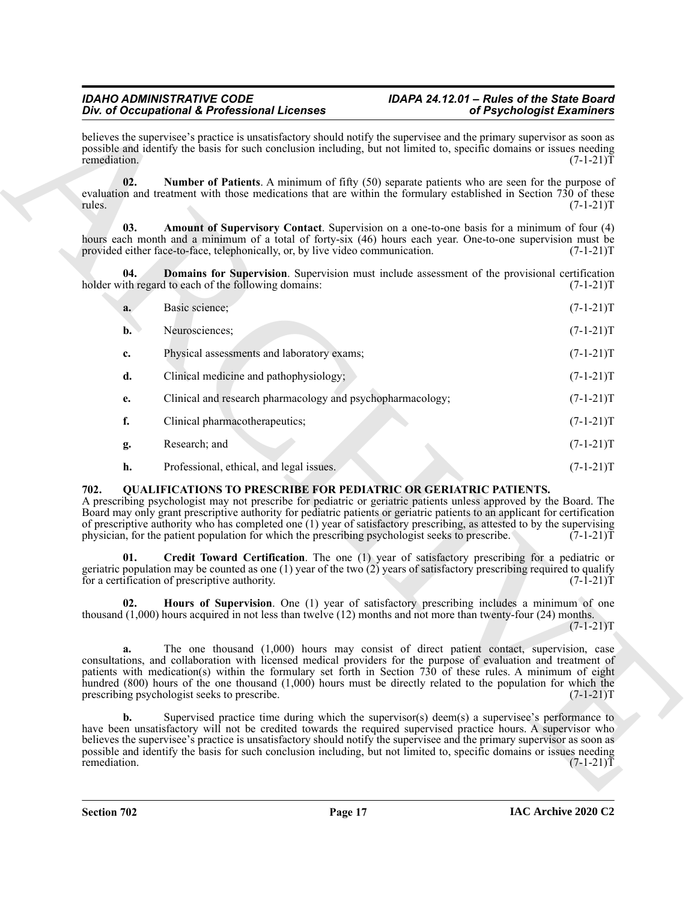<span id="page-16-6"></span><span id="page-16-5"></span><span id="page-16-4"></span>

| Div. of Occupational & Professional Licenses                                                                                                                                                                                                                                                                                                                                                                                                                                                                                                                       | of Psychologist Examiners |
|--------------------------------------------------------------------------------------------------------------------------------------------------------------------------------------------------------------------------------------------------------------------------------------------------------------------------------------------------------------------------------------------------------------------------------------------------------------------------------------------------------------------------------------------------------------------|---------------------------|
| believes the supervisee's practice is unsatisfactory should notify the supervisee and the primary supervisor as soon as<br>possible and identify the basis for such conclusion including, but not limited to, specific domains or issues needing<br>remediation.                                                                                                                                                                                                                                                                                                   | $(7-1-21)T$               |
| 02.<br><b>Number of Patients.</b> A minimum of fifty (50) separate patients who are seen for the purpose of<br>evaluation and treatment with those medications that are within the formulary established in Section 730 of these<br>rules.                                                                                                                                                                                                                                                                                                                         | $(7-1-21)T$               |
| Amount of Supervisory Contact. Supervision on a one-to-one basis for a minimum of four (4)<br>03.<br>hours each month and a minimum of a total of forty-six (46) hours each year. One-to-one supervision must be<br>provided either face-to-face, telephonically, or, by live video communication.                                                                                                                                                                                                                                                                 | $(7-1-21)T$               |
| 04.<br><b>Domains for Supervision.</b> Supervision must include assessment of the provisional certification<br>holder with regard to each of the following domains:                                                                                                                                                                                                                                                                                                                                                                                                | $(7-1-21)T$               |
| Basic science;<br>a.                                                                                                                                                                                                                                                                                                                                                                                                                                                                                                                                               | $(7-1-21)T$               |
| Neurosciences;<br>$\mathbf{b}$ .                                                                                                                                                                                                                                                                                                                                                                                                                                                                                                                                   | $(7-1-21)T$               |
| Physical assessments and laboratory exams;<br>c.                                                                                                                                                                                                                                                                                                                                                                                                                                                                                                                   | $(7-1-21)T$               |
| d.<br>Clinical medicine and pathophysiology;                                                                                                                                                                                                                                                                                                                                                                                                                                                                                                                       | $(7-1-21)T$               |
| Clinical and research pharmacology and psychopharmacology;<br>e.                                                                                                                                                                                                                                                                                                                                                                                                                                                                                                   | $(7-1-21)T$               |
| f.<br>Clinical pharmacotherapeutics;                                                                                                                                                                                                                                                                                                                                                                                                                                                                                                                               | $(7-1-21)T$               |
| Research; and<br>g.                                                                                                                                                                                                                                                                                                                                                                                                                                                                                                                                                | $(7-1-21)T$               |
| h.<br>Professional, ethical, and legal issues.                                                                                                                                                                                                                                                                                                                                                                                                                                                                                                                     | $(7-1-21)T$               |
| 702.<br><b>QUALIFICATIONS TO PRESCRIBE FOR PEDIATRIC OR GERIATRIC PATIENTS.</b><br>A prescribing psychologist may not prescribe for pediatric or geriatric patients unless approved by the Board. The<br>Board may only grant prescriptive authority for pediatric patients or geriatric patients to an applicant for certification<br>of prescriptive authority who has completed one (1) year of satisfactory prescribing, as attested to by the supervising<br>physician, for the patient population for which the prescribing psychologist seeks to prescribe. | $(7-1-21)T$               |
| 01.<br><b>Credit Toward Certification.</b> The one (1) year of satisfactory prescribing for a pediatric or<br>geriatric population may be counted as one $(1)$ year of the two $(2)$ years of satisfactory prescribing required to qualify<br>for a certification of prescriptive authority.                                                                                                                                                                                                                                                                       | $(7-1-21)T$               |
| Hours of Supervision. One (1) year of satisfactory prescribing includes a minimum of one<br>02.<br>thousand $(1,000)$ hours acquired in not less than twelve $(12)$ months and not more than twenty-four $(24)$ months.                                                                                                                                                                                                                                                                                                                                            | $(7-1-21)T$               |
| The one thousand (1,000) hours may consist of direct patient contact, supervision, case<br>a.<br>consultations, and collaboration with licensed medical providers for the purpose of evaluation and treatment of<br>patients with medication(s) within the formulary set forth in Section 730 of these rules. A minimum of eight<br>hundred $(800)$ hours of the one thousand $(1,000)$ hours must be directly related to the population for which the<br>prescribing psychologist seeks to prescribe.                                                             | $(7-1-21)T$               |
| $\mathbf{b}$ .<br>Supervised practice time during which the supervisor(s) deem(s) a supervisee's performance to<br>have been unsatisfactory will not be credited towards the required supervised practice hours. A supervisor who<br>believes the supervisee's practice is unsatisfactory should notify the supervisee and the primary supervisor as soon as                                                                                                                                                                                                       |                           |
| possible and identify the basis for such conclusion including, but not limited to, specific domains or issues needing<br>remediation.                                                                                                                                                                                                                                                                                                                                                                                                                              | $(7-1-21)T$               |

# <span id="page-16-3"></span><span id="page-16-2"></span><span id="page-16-1"></span><span id="page-16-0"></span>**702. QUALIFICATIONS TO PRESCRIBE FOR PEDIATRIC OR GERIATRIC PATIENTS.**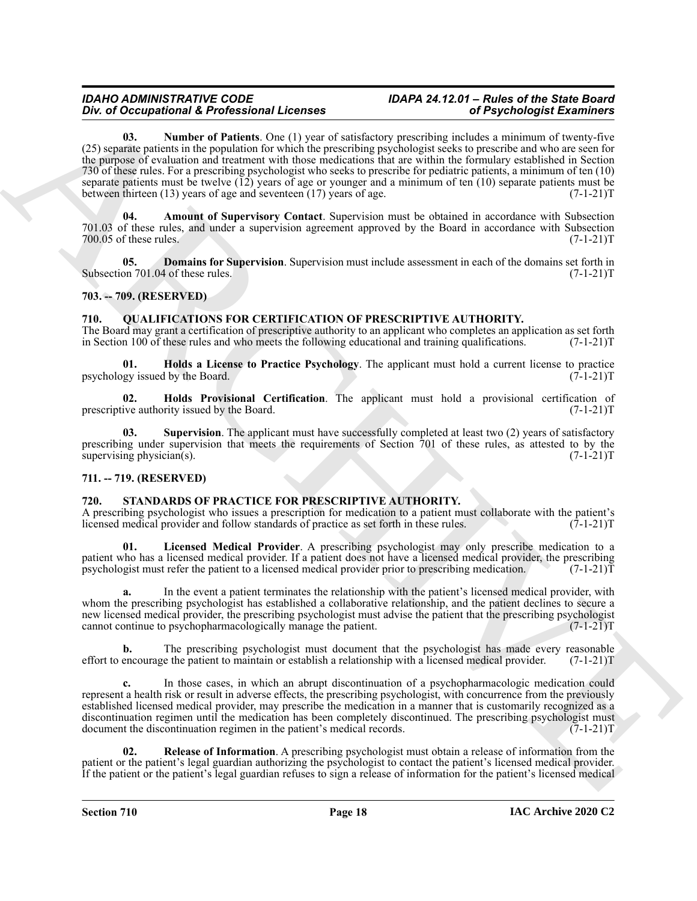One of Octomorphic K Ports and the tractic production and the second in the second in the second in the second in the second in the second in the second in the second in the second in the second in the second in the secon **03. Number of Patients**. One (1) year of satisfactory prescribing includes a minimum of twenty-five (25) separate patients in the population for which the prescribing psychologist seeks to prescribe and who are seen for the purpose of evaluation and treatment with those medications that are within the formulary established in Section 730 of these rules. For a prescribing psychologist who seeks to prescribe for pediatric patients, a minimum of ten (10) separate patients must be twelve  $(12)$  years of age or younger and a minimum of ten  $(10)$  separate patients must be between thirteen  $(13)$  years of age and seventeen  $(17)$  years of age.  $(7-1-21)$ between thirteen  $(13)$  years of age and seventeen  $(17)$  years of age.

<span id="page-17-10"></span><span id="page-17-8"></span>**04. Amount of Supervisory Contact**. Supervision must be obtained in accordance with Subsection 701.03 of these rules, and under a supervision agreement approved by the Board in accordance with Subsection 700.05 of these rules. (7-1-21)T

<span id="page-17-9"></span>**05. Domains for Supervision**. Supervision must include assessment in each of the domains set forth in on 701.04 of these rules. (7-1-21)T Subsection 701.04 of these rules.

# <span id="page-17-0"></span>**703. -- 709. (RESERVED)**

# <span id="page-17-4"></span><span id="page-17-1"></span>**710. QUALIFICATIONS FOR CERTIFICATION OF PRESCRIPTIVE AUTHORITY.**

The Board may grant a certification of prescriptive authority to an applicant who completes an application as set forth in Section 100 of these rules and who meets the following educational and training qualifications. (7-1-21)T

<span id="page-17-5"></span>**01. Holds a License to Practice Psychology**. The applicant must hold a current license to practice gy issued by the Board. (7-1-21)T psychology issued by the Board.

<span id="page-17-6"></span>**02. Holds Provisional Certification**. The applicant must hold a provisional certification of ive authority issued by the Board. (7-1-21) prescriptive authority issued by the Board.

<span id="page-17-7"></span>**03.** Supervision. The applicant must have successfully completed at least two (2) years of satisfactory prescribing under supervision that meets the requirements of Section 701 of these rules, as attested to by the supervising physician(s).  $(7-1-21)T$ 

# <span id="page-17-2"></span>**711. -- 719. (RESERVED)**

# <span id="page-17-11"></span><span id="page-17-3"></span>**720. STANDARDS OF PRACTICE FOR PRESCRIPTIVE AUTHORITY.**

A prescribing psychologist who issues a prescription for medication to a patient must collaborate with the patient's licensed medical provider and follow standards of practice as set forth in these rules. (7-1-21)T licensed medical provider and follow standards of practice as set forth in these rules.

<span id="page-17-12"></span>**Licensed Medical Provider**. A prescribing psychologist may only prescribe medication to a patient who has a licensed medical provider. If a patient does not have a licensed medical provider, the prescribing psychologist must refer the patient to a licensed medical provider prior to prescribing medication. (7-1-21)

**a.** In the event a patient terminates the relationship with the patient's licensed medical provider, with whom the prescribing psychologist has established a collaborative relationship, and the patient declines to secure a new licensed medical provider, the prescribing psychologist must advise the patient that the prescribing psychologist cannot continue to psychopharmacologically manage the patient. (7-1-21) cannot continue to psychopharmacologically manage the patient.

**b.** The prescribing psychologist must document that the psychologist has made every reasonable encourage the patient to maintain or establish a relationship with a licensed medical provider. (7-1-21) effort to encourage the patient to maintain or establish a relationship with a licensed medical provider.

**c.** In those cases, in which an abrupt discontinuation of a psychopharmacologic medication could represent a health risk or result in adverse effects, the prescribing psychologist, with concurrence from the previously established licensed medical provider, may prescribe the medication in a manner that is customarily recognized as a discontinuation regimen until the medication has been completely discontinued. The prescribing psychologist must<br>document the discontinuation regimen in the patient's medical records. (7-1-21) document the discontinuation regimen in the patient's medical records.

<span id="page-17-13"></span>**02. Release of Information**. A prescribing psychologist must obtain a release of information from the patient or the patient's legal guardian authorizing the psychologist to contact the patient's licensed medical provider. If the patient or the patient's legal guardian refuses to sign a release of information for the patient's licensed medical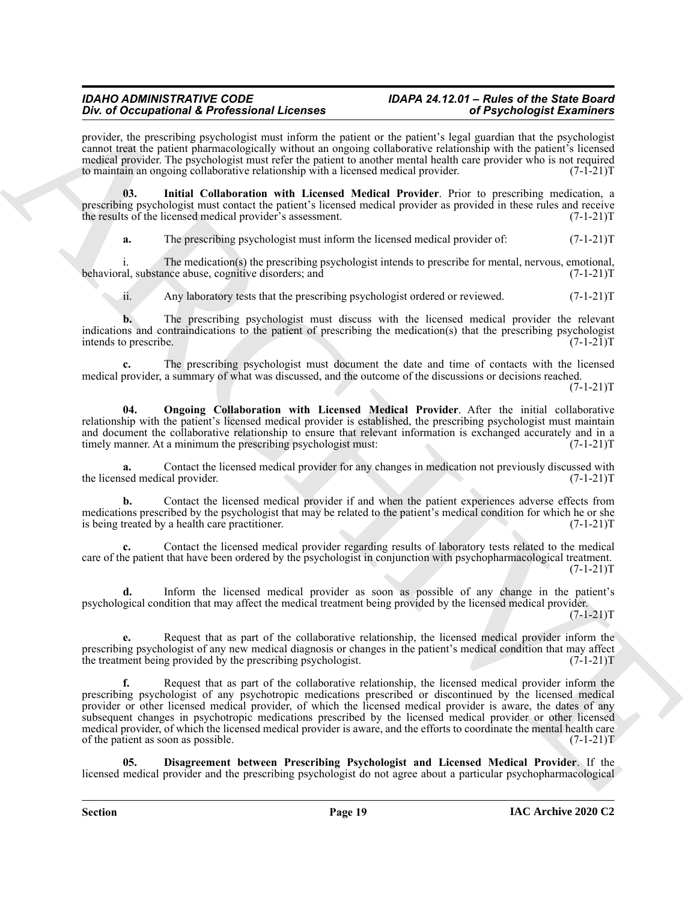provider, the prescribing psychologist must inform the patient or the patient's legal guardian that the psychologist cannot treat the patient pharmacologically without an ongoing collaborative relationship with the patient's licensed medical provider. The psychologist must refer the patient to another mental health care provider who is not required<br>to maintain an ongoing collaborative relationship with a licensed medical provider. (7-1-21) to maintain an ongoing collaborative relationship with a licensed medical provider.

**03. Initial Collaboration with Licensed Medical Provider**. Prior to prescribing medication, a prescribing psychologist must contact the patient's licensed medical provider as provided in these rules and receive the results of the licensed medical provider's assessment. (7-1-21)T

<span id="page-18-1"></span>**a.** The prescribing psychologist must inform the licensed medical provider of:  $(7-1-21)$ T

i. The medication(s) the prescribing psychologist intends to prescribe for mental, nervous, emotional, al, substance abuse, cognitive disorders; and behavioral, substance abuse, cognitive disorders; and

ii. Any laboratory tests that the prescribing psychologist ordered or reviewed. (7-1-21)T

**b.** The prescribing psychologist must discuss with the licensed medical provider the relevant indications and contraindications to the patient of prescribing the medication(s) that the prescribing psychologist intends to prescribe. (7-1-21)T

**c.** The prescribing psychologist must document the date and time of contacts with the licensed medical provider, a summary of what was discussed, and the outcome of the discussions or decisions reached.  $(7-1-21)T$ 

<span id="page-18-2"></span>**04. Ongoing Collaboration with Licensed Medical Provider**. After the initial collaborative relationship with the patient's licensed medical provider is established, the prescribing psychologist must maintain and document the collaborative relationship to ensure that relevant information is exchanged accurately and in a timely manner. At a minimum the prescribing psychologist must: (7-1-21) timely manner. At a minimum the prescribing psychologist must:

Contact the licensed medical provider for any changes in medication not previously discussed with cal provider.  $(7-1-21)T$ the licensed medical provider.

**b.** Contact the licensed medical provider if and when the patient experiences adverse effects from medications prescribed by the psychologist that may be related to the patient's medical condition for which he or she<br>is being treated by a health care practitioner. (7-1-21) is being treated by a health care practitioner.

**c.** Contact the licensed medical provider regarding results of laboratory tests related to the medical care of the patient that have been ordered by the psychologist in conjunction with psychopharmacological treatment.  $(7-1-21)T$ 

**d.** Inform the licensed medical provider as soon as possible of any change in the patient's psychological condition that may affect the medical treatment being provided by the licensed medical provider.  $(7-1-21)T$ 

**e.** Request that as part of the collaborative relationship, the licensed medical provider inform the prescribing psychologist of any new medical diagnosis or changes in the patient's medical condition that may affect<br>the treatment being provided by the prescribing psychologist. (7-1-21) the treatment being provided by the prescribing psychologist.

For  $\theta$  Decoration is for behaviour like the state in the point of Phyodological Examines of the point of the point of Figure and the point of the point of the state point of the state point of the state point of the poi **f.** Request that as part of the collaborative relationship, the licensed medical provider inform the prescribing psychologist of any psychotropic medications prescribed or discontinued by the licensed medical provider or other licensed medical provider, of which the licensed medical provider is aware, the dates of any subsequent changes in psychotropic medications prescribed by the licensed medical provider or other licensed medical provider, of which the licensed medical provider is aware, and the efforts to coordinate the mental health care<br>of the patient as soon as possible. (7-1-21) of the patient as soon as possible.

<span id="page-18-0"></span>**05. Disagreement between Prescribing Psychologist and Licensed Medical Provider**. If the licensed medical provider and the prescribing psychologist do not agree about a particular psychopharmacological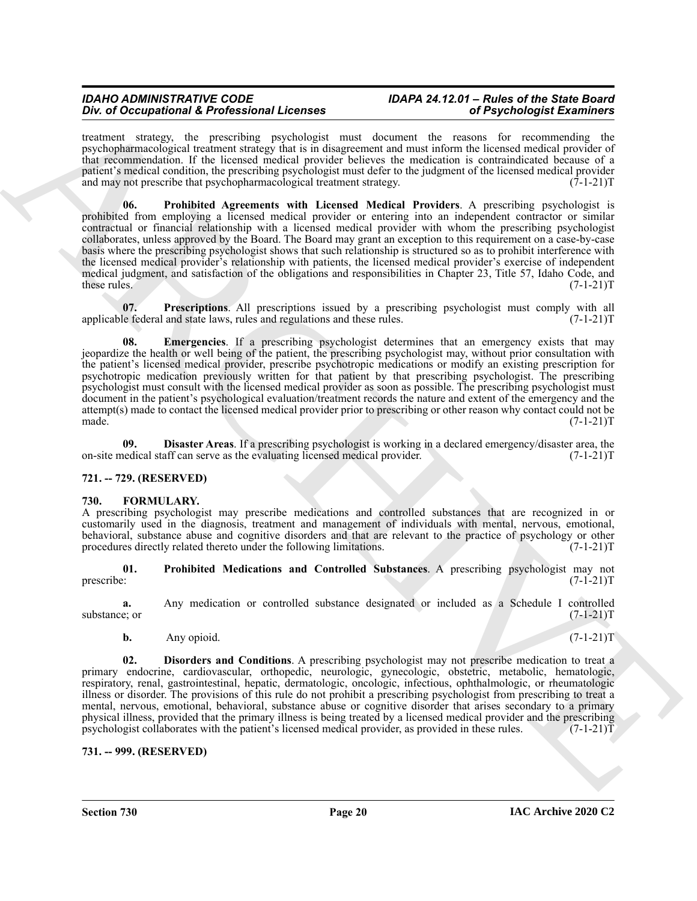<span id="page-19-9"></span>treatment strategy, the prescribing psychologist must document the reasons for recommending the psychopharmacological treatment strategy that is in disagreement and must inform the licensed medical provider of that recommendation. If the licensed medical provider believes the medication is contraindicated because of a patient's medical condition, the prescribing psychologist must defer to the judgment of the licensed medical provider and may not prescribe that psychopharmacological treatment strategy.  $(7-1-21)$ T

For observation of *F*-Reference International control is consistent and the control is consistent and the control is consistent and the control is consistent and the control is consistent and the control is consistent an **06. Prohibited Agreements with Licensed Medical Providers**. A prescribing psychologist is prohibited from employing a licensed medical provider or entering into an independent contractor or similar contractual or financial relationship with a licensed medical provider with whom the prescribing psychologist collaborates, unless approved by the Board. The Board may grant an exception to this requirement on a case-by-case basis where the prescribing psychologist shows that such relationship is structured so as to prohibit interference with the licensed medical provider's relationship with patients, the licensed medical provider's exercise of independent medical judgment, and satisfaction of the obligations and responsibilities in Chapter 23, Title 57, Idaho Code, and these rules. (7-1-21)T

<span id="page-19-8"></span>**07. Prescriptions**. All prescriptions issued by a prescribing psychologist must comply with all le federal and state laws, rules and regulations and these rules. (7-1-21) applicable federal and state laws, rules and regulations and these rules.

<span id="page-19-7"></span>**08. Emergencies**. If a prescribing psychologist determines that an emergency exists that may jeopardize the health or well being of the patient, the prescribing psychologist may, without prior consultation with the patient's licensed medical provider, prescribe psychotropic medications or modify an existing prescription for psychotropic medication previously written for that patient by that prescribing psychologist. The prescribing psychologist must consult with the licensed medical provider as soon as possible. The prescribing psychologist must document in the patient's psychological evaluation/treatment records the nature and extent of the emergency and the attempt(s) made to contact the licensed medical provider prior to prescribing or other reason why contact could not be made.  $(7-1-21)T$ 

<span id="page-19-6"></span>**09. Disaster Areas**. If a prescribing psychologist is working in a declared emergency/disaster area, the nedical staff can serve as the evaluating licensed medical provider. (7-1-21) on-site medical staff can serve as the evaluating licensed medical provider.

# <span id="page-19-0"></span>**721. -- 729. (RESERVED)**

### <span id="page-19-3"></span><span id="page-19-1"></span>**730. FORMULARY.**

A prescribing psychologist may prescribe medications and controlled substances that are recognized in or customarily used in the diagnosis, treatment and management of individuals with mental, nervous, emotional, behavioral, substance abuse and cognitive disorders and that are relevant to the practice of psychology or other procedures directly related thereto under the following limitations. (7-1-21) procedures directly related thereto under the following limitations.

<span id="page-19-5"></span>**01.** Prohibited Medications and Controlled Substances. A prescribing psychologist may not prescribe:  $(7-1-21)T$ prescribe: (7-1-21)T

**a.** Any medication or controlled substance designated or included as a Schedule I controlled substance; or  $(7-1-21)$ T

<span id="page-19-4"></span>**b.** Any opioid. (7-1-21)T

**02. Disorders and Conditions**. A prescribing psychologist may not prescribe medication to treat a primary endocrine, cardiovascular, orthopedic, neurologic, gynecologic, obstetric, metabolic, hematologic, respiratory, renal, gastrointestinal, hepatic, dermatologic, oncologic, infectious, ophthalmologic, or rheumatologic illness or disorder. The provisions of this rule do not prohibit a prescribing psychologist from prescribing to treat a mental, nervous, emotional, behavioral, substance abuse or cognitive disorder that arises secondary to a primary physical illness, provided that the primary illness is being treated by a licensed medical provider and the prescribing psychologist collaborates with the patient's licensed medical provider, as provided in these rules. (7-1-21)T

# <span id="page-19-2"></span>**731. -- 999. (RESERVED)**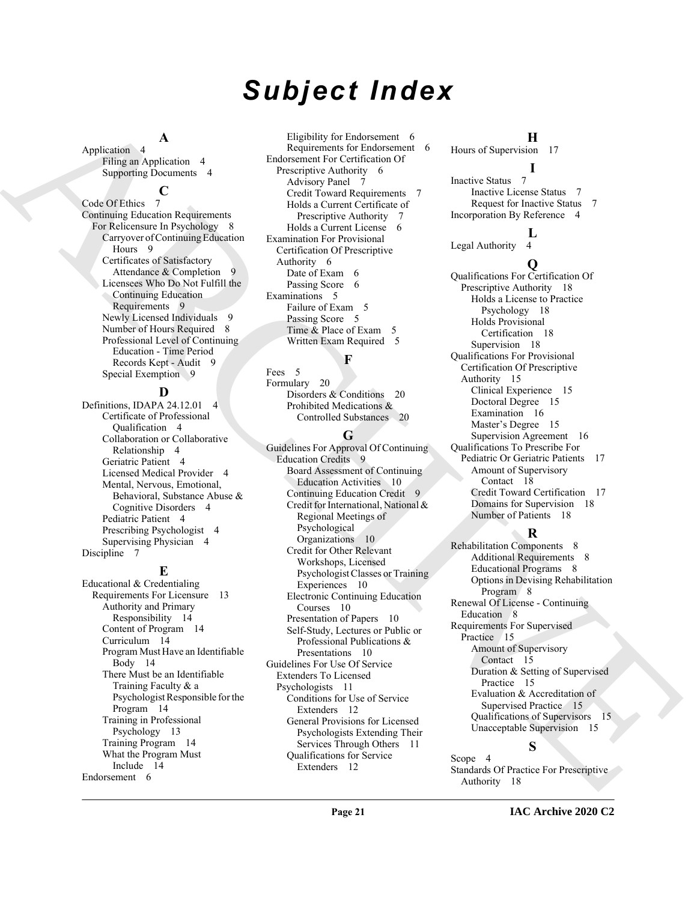# *Subject Index*

# **A**

Application 4 Filing an Application 4 Supporting Documents 4

#### **C**

Code Of Ethics 7 Continuing Education Requirements For Relicensure In Psychology 8 Carryover of Continuing Education Hours 9 Certificates of Satisfactory Attendance & Completion 9 Licensees Who Do Not Fulfill the Continuing Education Requirements 9 Newly Licensed Individuals 9 Number of Hours Required 8 Professional Level of Continuing Education - Time Period Records Kept - Audit 9 Special Exemption 9

# **D**

Definitions, IDAPA 24.12.01 4 Certificate of Professional Qualification 4 Collaboration or Collaborative Relationship 4 Geriatric Patient 4 Licensed Medical Provider 4 Mental, Nervous, Emotional, Behavioral, Substance Abuse & Cognitive Disorders 4 Pediatric Patient 4 Prescribing Psychologist 4 Supervising Physician 4 Discipline 7

# **E**

Educational & Credentialing Requirements For Licensure 13 Authority and Primary Responsibility 14 Content of Program 14 Curriculum 14 Program Must Have an Identifiable Body 14 There Must be an Identifiable Training Faculty & a Psychologist Responsible for the Program 14 Training in Professional Psychology 13 Training Program 14 What the Program Must Include 14 Endorsement 6

Eligibility for Endorsement 6 Requirements for Endorsement 6 Endorsement For Certification Of Prescriptive Authority 6 Advisory Panel 7 Credit Toward Requirements 7 Holds a Current Certificate of Prescriptive Authority 7 Holds a Current License 6 Examination For Provisional Certification Of Prescriptive Authority 6 Date of Exam 6 Passing Score 6 Examinations 5 Failure of Exam 5 Passing Score 5 Time & Place of Exam 5 Written Exam Required 5

# **F**

Fees 5 Formulary 20 Disorders & Conditions 20 Prohibited Medications & Controlled Substances 20

# **G**

[A](#page-7-5)[R](#page-8-3)[C](#page-19-5)[HI](#page-9-1)[V](#page-7-10)[E](#page-14-9) Guidelines For Approval Of Continuing Education Credits 9 Board Assessment of Continuing Education Activities 10 Continuing Education Credit 9 Credit for International, National & Regional Meetings of Psychological Organizations 10 Credit for Other Relevant Workshops, Licensed Psychologist Classes or Training Experiences 10 Electronic Continuing Education Courses 10 Presentation of Papers 10 Self-Study, Lectures or Public or Professional Publications & Presentations 10 Guidelines For Use Of Service Extenders To Licensed Psychologists 11 Conditions for Use of Service Extenders 12 General Provisions for Licensed Psychologists Extending Their Services Through Others 11 Qualifications for Service Extenders 12

**H** Hours of Supervision 17

# **I**

Inactive Status 7 Inactive License Status 7 Request for Inactive Status 7 Incorporation By Reference 4

# $\frac{L}{4}$

Legal Authority

# **Q**

Qualifications For Certification Of Prescriptive Authority 18 Holds a License to Practice Psychology 18 Holds Provisional Certification 18 Supervision 18 Qualifications For Provisional Certification Of Prescriptive Authority 15 Clinical Experience 15 Doctoral Degree 15 Examination 16 Master's Degree 15 Supervision Agreement 16 Qualifications To Prescribe For Pediatric Or Geriatric Patients 17 Amount of Supervisory Contact 18 Credit Toward Certification 17 Domains for Supervision 18 Number of Patients 18

# **R**

Rehabilitation Components 8 Additional Requirements 8 Educational Programs 8 Options in Devising Rehabilitation Program 8 Renewal Of License - Continuing Education 8 Requirements For Supervised Practice 15 Amount of Supervisory Contact 15 Duration & Setting of Supervised Practice 15 Evaluation & Accreditation of Supervised Practice 15 Qualifications of Supervisors 15 Unacceptable Supervision 15

# **S**

Scope 4 Standards Of Practice For Prescriptive Authority 18